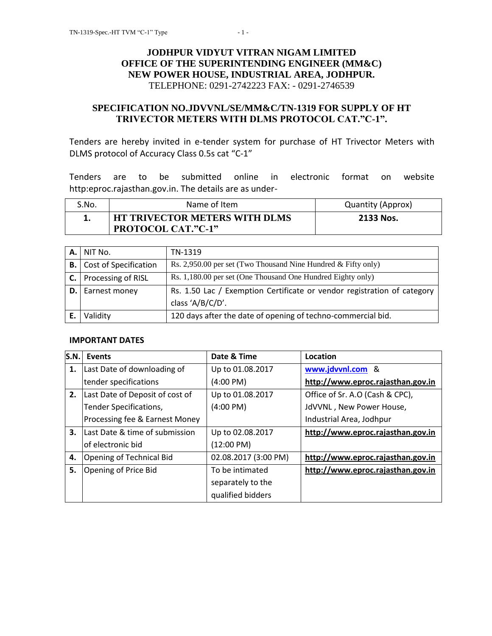## **JODHPUR VIDYUT VITRAN NIGAM LIMITED OFFICE OF THE SUPERINTENDING ENGINEER (MM&C) NEW POWER HOUSE, INDUSTRIAL AREA, JODHPUR.** TELEPHONE: 0291-2742223 FAX: - 0291-2746539

#### **SPECIFICATION NO.JDVVNL/SE/MM&C/TN-1319 FOR SUPPLY OF HT TRIVECTOR METERS WITH DLMS PROTOCOL CAT."C-1".**

Tenders are hereby invited in e-tender system for purchase of HT Trivector Meters with DLMS protocol of Accuracy Class 0.5s cat "C-1"

Tenders are to be submitted online in electronic format on website http:eproc.rajasthan.gov.in. The details are as under-

| S.No. | Name of Item                                                      | Quantity (Approx) |
|-------|-------------------------------------------------------------------|-------------------|
|       | <b>HT TRIVECTOR METERS WITH DLMS</b><br><b>PROTOCOL CAT."C-1"</b> | 2133 Nos.         |

|    | NIT No.                         | TN-1319                                                                 |
|----|---------------------------------|-------------------------------------------------------------------------|
|    | <b>B.</b> Cost of Specification | Rs. 2,950.00 per set (Two Thousand Nine Hundred & Fifty only)           |
| C. | Processing of RISL              | Rs. 1,180.00 per set (One Thousand One Hundred Eighty only)             |
|    | Earnest money                   | Rs. 1.50 Lac / Exemption Certificate or vendor registration of category |
|    |                                 | class 'A/B/C/D'.                                                        |
|    | Validity                        | 120 days after the date of opening of techno-commercial bid.            |

#### **IMPORTANT DATES**

| S.N. | Events                          | Date & Time          | Location                          |
|------|---------------------------------|----------------------|-----------------------------------|
| 1.   | Last Date of downloading of     | Up to 01.08.2017     | www.jdvvnl.com &                  |
|      | tender specifications           | $(4:00 \text{ PM})$  | http://www.eproc.rajasthan.gov.in |
| 2.   | Last Date of Deposit of cost of | Up to 01.08.2017     | Office of Sr. A.O (Cash & CPC),   |
|      | Tender Specifications,          | $(4:00 \text{ PM})$  | JdVVNL, New Power House,          |
|      | Processing fee & Earnest Money  |                      | Industrial Area, Jodhpur          |
| 3.   | Last Date & time of submission  | Up to 02.08.2017     | http://www.eproc.rajasthan.gov.in |
|      | of electronic bid               | $(12:00 \text{ PM})$ |                                   |
| 4.   | Opening of Technical Bid        | 02.08.2017 (3:00 PM) | http://www.eproc.rajasthan.gov.in |
| 5.   | Opening of Price Bid            | To be intimated      | http://www.eproc.rajasthan.gov.in |
|      |                                 | separately to the    |                                   |
|      |                                 | qualified bidders    |                                   |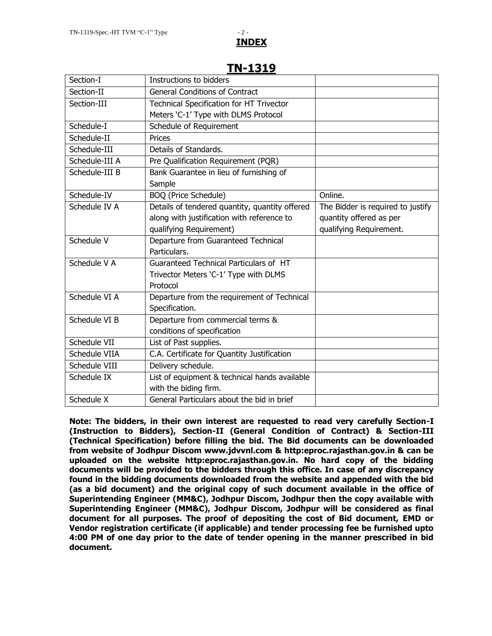# **INDEX**

|                | II\ <del>1</del> y1y                            |                                   |
|----------------|-------------------------------------------------|-----------------------------------|
| Section-I      | Instructions to bidders                         |                                   |
| Section-II     | <b>General Conditions of Contract</b>           |                                   |
| Section-III    | <b>Technical Specification for HT Trivector</b> |                                   |
|                | Meters 'C-1' Type with DLMS Protocol            |                                   |
| Schedule-I     | Schedule of Requirement                         |                                   |
| Schedule-II    | Prices                                          |                                   |
| Schedule-III   | Details of Standards.                           |                                   |
| Schedule-III A | Pre Qualification Requirement (PQR)             |                                   |
| Schedule-III B | Bank Guarantee in lieu of furnishing of         |                                   |
|                | Sample                                          |                                   |
| Schedule-IV    | <b>BOQ</b> (Price Schedule)                     | Online.                           |
| Schedule IV A  | Details of tendered quantity, quantity offered  | The Bidder is required to justify |
|                | along with justification with reference to      | quantity offered as per           |
|                | qualifying Requirement)                         | qualifying Requirement.           |
| Schedule V     | Departure from Guaranteed Technical             |                                   |
|                | Particulars.                                    |                                   |
| Schedule V A   | Guaranteed Technical Particulars of HT          |                                   |
|                | Trivector Meters 'C-1' Type with DLMS           |                                   |
|                | Protocol                                        |                                   |
| Schedule VI A  | Departure from the requirement of Technical     |                                   |
|                | Specification.                                  |                                   |
| Schedule VI B  | Departure from commercial terms &               |                                   |
|                | conditions of specification                     |                                   |
| Schedule VII   | List of Past supplies.                          |                                   |
| Schedule VIIA  | C.A. Certificate for Quantity Justification     |                                   |
| Schedule VIII  | Delivery schedule.                              |                                   |
| Schedule IX    | List of equipment & technical hands available   |                                   |
|                | with the biding firm.                           |                                   |
| Schedule X     | General Particulars about the bid in brief      |                                   |

## **TN-1319**

**Note: The bidders, in their own interest are requested to read very carefully Section-I (Instruction to Bidders), Section-II (General Condition of Contract) & Section-III (Technical Specification) before filling the bid. The Bid documents can be downloaded from website of Jodhpur Discom www.jdvvnl.com & http:eproc.rajasthan.gov.in & can be uploaded on the website http:eproc.rajasthan.gov.in. No hard copy of the bidding documents will be provided to the bidders through this office. In case of any discrepancy found in the bidding documents downloaded from the website and appended with the bid (as a bid document) and the original copy of such document available in the office of Superintending Engineer (MM&C), Jodhpur Discom, Jodhpur then the copy available with Superintending Engineer (MM&C), Jodhpur Discom, Jodhpur will be considered as final document for all purposes. The proof of depositing the cost of Bid document, EMD or Vendor registration certificate (if applicable) and tender processing fee be furnished upto 4:00 PM of one day prior to the date of tender opening in the manner prescribed in bid document.**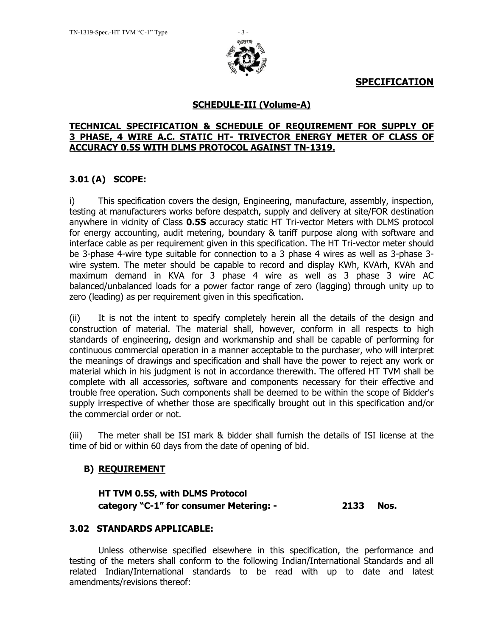

**SPECIFICATION**

## **SCHEDULE-III (Volume-A)**

## **TECHNICAL SPECIFICATION & SCHEDULE OF REQUIREMENT FOR SUPPLY OF 3 PHASE, 4 WIRE A.C. STATIC HT- TRIVECTOR ENERGY METER OF CLASS OF ACCURACY 0.5S WITH DLMS PROTOCOL AGAINST TN-1319.**

## **3.01 (A) SCOPE:**

i) This specification covers the design, Engineering, manufacture, assembly, inspection, testing at manufacturers works before despatch, supply and delivery at site/FOR destination anywhere in vicinity of Class **0.5S** accuracy static HT Tri-vector Meters with DLMS protocol for energy accounting, audit metering, boundary & tariff purpose along with software and interface cable as per requirement given in this specification. The HT Tri-vector meter should be 3-phase 4-wire type suitable for connection to a 3 phase 4 wires as well as 3-phase 3 wire system. The meter should be capable to record and display KWh, KVArh, KVAh and maximum demand in KVA for 3 phase 4 wire as well as 3 phase 3 wire AC balanced/unbalanced loads for a power factor range of zero (lagging) through unity up to zero (leading) as per requirement given in this specification.

(ii) It is not the intent to specify completely herein all the details of the design and construction of material. The material shall, however, conform in all respects to high standards of engineering, design and workmanship and shall be capable of performing for continuous commercial operation in a manner acceptable to the purchaser, who will interpret the meanings of drawings and specification and shall have the power to reject any work or material which in his judgment is not in accordance therewith. The offered HT TVM shall be complete with all accessories, software and components necessary for their effective and trouble free operation. Such components shall be deemed to be within the scope of Bidder's supply irrespective of whether those are specifically brought out in this specification and/or the commercial order or not.

(iii) The meter shall be ISI mark & bidder shall furnish the details of ISI license at the time of bid or within 60 days from the date of opening of bid.

## **B) REQUIREMENT**

**HT TVM 0.5S, with DLMS Protocol category "C-1" for consumer Metering: - 2133 Nos.**

## **3.02 STANDARDS APPLICABLE:**

Unless otherwise specified elsewhere in this specification, the performance and testing of the meters shall conform to the following Indian/International Standards and all related Indian/International standards to be read with up to date and latest amendments/revisions thereof: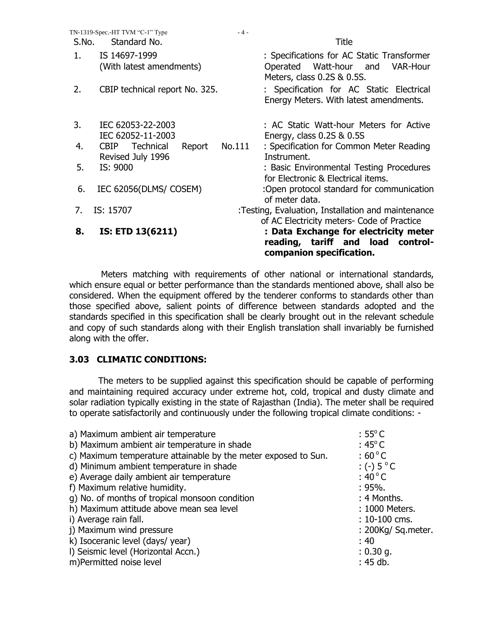|       | TN-1319-Spec.-HT TVM "C-1" Type                         | $-4-$  |                                                                                                                |
|-------|---------------------------------------------------------|--------|----------------------------------------------------------------------------------------------------------------|
| S.No. | Standard No.                                            |        | Title                                                                                                          |
| 1.    | IS 14697-1999<br>(With latest amendments)               |        | : Specifications for AC Static Transformer<br>Operated Watt-hour and<br>VAR-Hour<br>Meters, class 0.2S & 0.5S. |
| 2.    | CBIP technical report No. 325.                          |        | : Specification for AC Static Electrical<br>Energy Meters. With latest amendments.                             |
| 3.    | IEC 62053-22-2003<br>IEC 62052-11-2003                  |        | : AC Static Watt-hour Meters for Active<br>Energy, class $0.2S$ & $0.5S$                                       |
| 4.    | Technical<br><b>CBIP</b><br>Report<br>Revised July 1996 | No.111 | : Specification for Common Meter Reading<br>Instrument.                                                        |
| 5.    | IS: 9000                                                |        | : Basic Environmental Testing Procedures<br>for Electronic & Electrical items.                                 |
| 6.    | IEC 62056(DLMS/ COSEM)                                  |        | :Open protocol standard for communication<br>of meter data.                                                    |
| 7.    | IS: 15707                                               |        | :Testing, Evaluation, Installation and maintenance<br>of AC Electricity meters- Code of Practice               |
| 8.    | IS: ETD 13(6211)                                        |        | : Data Exchange for electricity meter<br>reading, tariff and load control-<br>companion specification.         |

Meters matching with requirements of other national or international standards, which ensure equal or better performance than the standards mentioned above, shall also be considered. When the equipment offered by the tenderer conforms to standards other than those specified above, salient points of difference between standards adopted and the standards specified in this specification shall be clearly brought out in the relevant schedule and copy of such standards along with their English translation shall invariably be furnished along with the offer.

#### **3.03 CLIMATIC CONDITIONS:**

The meters to be supplied against this specification should be capable of performing and maintaining required accuracy under extreme hot, cold, tropical and dusty climate and solar radiation typically existing in the state of Rajasthan (India). The meter shall be required to operate satisfactorily and continuously under the following tropical climate conditions: -

| $:55^{\circ}$ C       |
|-----------------------|
| $:45^{\circ}$ C       |
| $:60^{\circ}$ C       |
| : (-) $5^{\circ}$ C   |
| : 40 $^{\circ}$ C     |
| $: 95\%$ .            |
| : 4 Months.           |
| : 1000 Meters.        |
| $: 10 - 100$ cms.     |
| $: 200Kq/$ Sq. meter. |
| :40                   |
| $: 0.30$ g.           |
| : 45 db.              |
|                       |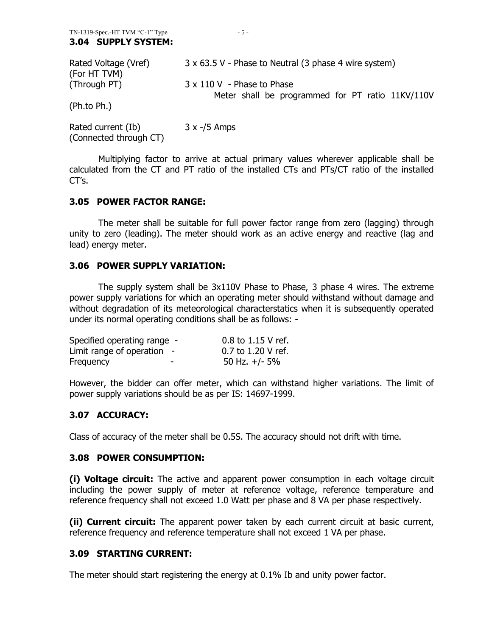| Rated Voltage (Vref)<br>(For HT TVM) | 3 x 63.5 V - Phase to Neutral (3 phase 4 wire system)                          |
|--------------------------------------|--------------------------------------------------------------------------------|
| (Through PT)                         | 3 x 110 V - Phase to Phase<br>Meter shall be programmed for PT ratio 11KV/110V |
| (Ph.to Ph.)                          |                                                                                |

Rated current (Ib) 3 x -/5 Amps (Connected through CT)

Multiplying factor to arrive at actual primary values wherever applicable shall be calculated from the CT and PT ratio of the installed CTs and PTs/CT ratio of the installed  $CT's.$ 

#### **3.05 POWER FACTOR RANGE:**

The meter shall be suitable for full power factor range from zero (lagging) through unity to zero (leading). The meter should work as an active energy and reactive (lag and lead) energy meter.

#### **3.06 POWER SUPPLY VARIATION:**

The supply system shall be 3x110V Phase to Phase, 3 phase 4 wires. The extreme power supply variations for which an operating meter should withstand without damage and without degradation of its meteorological characterstatics when it is subsequently operated under its normal operating conditions shall be as follows: -

| Specified operating range -  |   | $0.8$ to 1.15 V ref. |
|------------------------------|---|----------------------|
| Limit range of operation $-$ |   | 0.7 to 1.20 V ref.   |
| Frequency                    | - | 50 Hz. $+/-$ 5%      |

However, the bidder can offer meter, which can withstand higher variations. The limit of power supply variations should be as per IS: 14697-1999.

## **3.07 ACCURACY:**

Class of accuracy of the meter shall be 0.5S. The accuracy should not drift with time.

#### **3.08 POWER CONSUMPTION:**

**(i) Voltage circuit:** The active and apparent power consumption in each voltage circuit including the power supply of meter at reference voltage, reference temperature and reference frequency shall not exceed 1.0 Watt per phase and 8 VA per phase respectively.

**(ii) Current circuit:** The apparent power taken by each current circuit at basic current, reference frequency and reference temperature shall not exceed 1 VA per phase.

#### **3.09 STARTING CURRENT:**

The meter should start registering the energy at 0.1% Ib and unity power factor.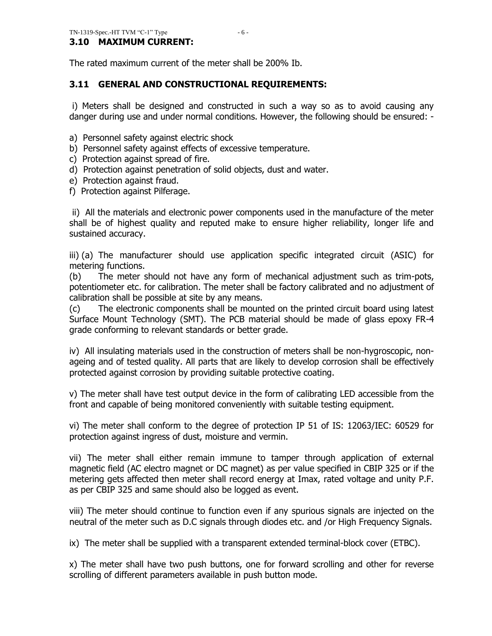## **3.10 MAXIMUM CURRENT:**

The rated maximum current of the meter shall be 200% Ib.

## **3.11 GENERAL AND CONSTRUCTIONAL REQUIREMENTS:**

i) Meters shall be designed and constructed in such a way so as to avoid causing any danger during use and under normal conditions. However, the following should be ensured: -

- a) Personnel safety against electric shock
- b) Personnel safety against effects of excessive temperature.
- c) Protection against spread of fire.
- d) Protection against penetration of solid objects, dust and water.
- e) Protection against fraud.
- f) Protection against Pilferage.

ii) All the materials and electronic power components used in the manufacture of the meter shall be of highest quality and reputed make to ensure higher reliability, longer life and sustained accuracy.

iii) (a) The manufacturer should use application specific integrated circuit (ASIC) for metering functions.

(b) The meter should not have any form of mechanical adjustment such as trim-pots, potentiometer etc. for calibration. The meter shall be factory calibrated and no adjustment of calibration shall be possible at site by any means.

(c) The electronic components shall be mounted on the printed circuit board using latest Surface Mount Technology (SMT). The PCB material should be made of glass epoxy FR-4 grade conforming to relevant standards or better grade.

iv) All insulating materials used in the construction of meters shall be non-hygroscopic, nonageing and of tested quality. All parts that are likely to develop corrosion shall be effectively protected against corrosion by providing suitable protective coating.

v) The meter shall have test output device in the form of calibrating LED accessible from the front and capable of being monitored conveniently with suitable testing equipment.

vi) The meter shall conform to the degree of protection IP 51 of IS: 12063/IEC: 60529 for protection against ingress of dust, moisture and vermin.

vii) The meter shall either remain immune to tamper through application of external magnetic field (AC electro magnet or DC magnet) as per value specified in CBIP 325 or if the metering gets affected then meter shall record energy at Imax, rated voltage and unity P.F. as per CBIP 325 and same should also be logged as event.

viii) The meter should continue to function even if any spurious signals are injected on the neutral of the meter such as D.C signals through diodes etc. and /or High Frequency Signals.

ix) The meter shall be supplied with a transparent extended terminal-block cover (ETBC).

x) The meter shall have two push buttons, one for forward scrolling and other for reverse scrolling of different parameters available in push button mode.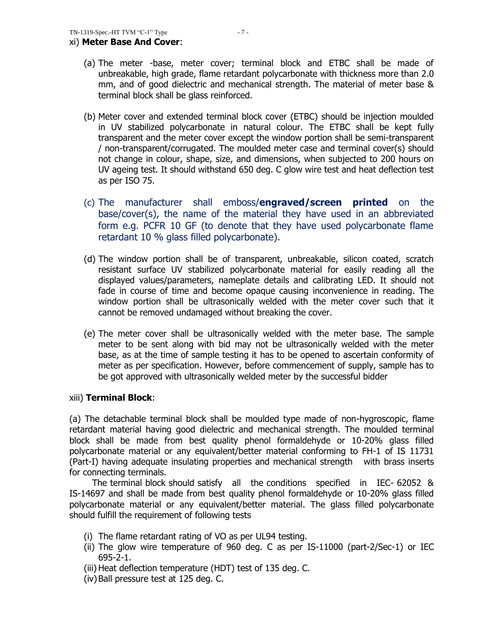- (a) The meter -base, meter cover; terminal block and ETBC shall be made of unbreakable, high grade, flame retardant polycarbonate with thickness more than 2.0 mm, and of good dielectric and mechanical strength. The material of meter base & terminal block shall be glass reinforced.
- (b) Meter cover and extended terminal block cover (ETBC) should be injection moulded in UV stabilized polycarbonate in natural colour. The ETBC shall be kept fully transparent and the meter cover except the window portion shall be semi-transparent / non-transparent/corrugated. The moulded meter case and terminal cover(s) should not change in colour, shape, size, and dimensions, when subjected to 200 hours on UV ageing test. It should withstand 650 deg. C glow wire test and heat deflection test as per ISO 75.
- (c) The manufacturer shall emboss/**engraved/screen printed** on the base/cover(s), the name of the material they have used in an abbreviated form e.g. PCFR 10 GF (to denote that they have used polycarbonate flame retardant 10 % glass filled polycarbonate).
- (d) The window portion shall be of transparent, unbreakable, silicon coated, scratch resistant surface UV stabilized polycarbonate material for easily reading all the displayed values/parameters, nameplate details and calibrating LED. It should not fade in course of time and become opaque causing inconvenience in reading. The window portion shall be ultrasonically welded with the meter cover such that it cannot be removed undamaged without breaking the cover.
- (e) The meter cover shall be ultrasonically welded with the meter base. The sample meter to be sent along with bid may not be ultrasonically welded with the meter base, as at the time of sample testing it has to be opened to ascertain conformity of meter as per specification. However, before commencement of supply, sample has to be got approved with ultrasonically welded meter by the successful bidder

## xiii) **Terminal Block**:

(a) The detachable terminal block shall be moulded type made of non-hygroscopic, flame retardant material having good dielectric and mechanical strength. The moulded terminal block shall be made from best quality phenol formaldehyde or 10-20% glass filled polycarbonate material or any equivalent/better material conforming to FH-1 of IS 11731 (Part-I) having adequate insulating properties and mechanical strength with brass inserts for connecting terminals.

 The terminal block should satisfy all the conditions specified in IEC- 62052 & IS-14697 and shall be made from best quality phenol formaldehyde or 10-20% glass filled polycarbonate material or any equivalent/better material. The glass filled polycarbonate should fulfill the requirement of following tests

- (i) The flame retardant rating of VO as per UL94 testing.
- (ii) The glow wire temperature of 960 deg. C as per IS-11000 (part-2/Sec-1) or IEC 695-2-1.
- (iii) Heat deflection temperature (HDT) test of 135 deg. C.
- (iv)Ball pressure test at 125 deg. C.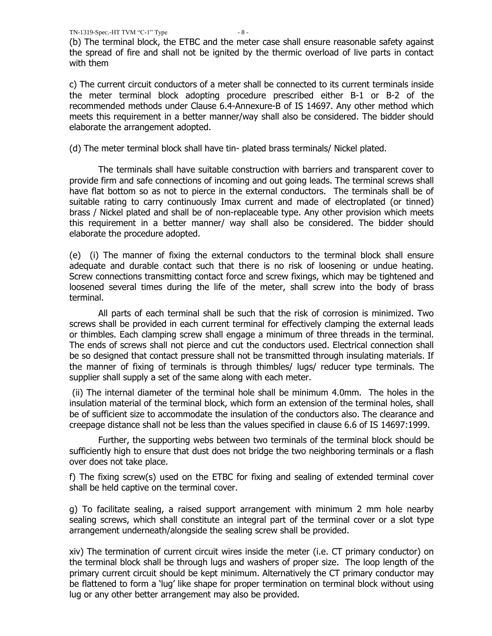(b) The terminal block, the ETBC and the meter case shall ensure reasonable safety against the spread of fire and shall not be ignited by the thermic overload of live parts in contact with them

c) The current circuit conductors of a meter shall be connected to its current terminals inside the meter terminal block adopting procedure prescribed either B-1 or B-2 of the recommended methods under Clause 6.4-Annexure-B of IS 14697. Any other method which meets this requirement in a better manner/way shall also be considered. The bidder should elaborate the arrangement adopted.

(d) The meter terminal block shall have tin- plated brass terminals/ Nickel plated.

The terminals shall have suitable construction with barriers and transparent cover to provide firm and safe connections of incoming and out going leads. The terminal screws shall have flat bottom so as not to pierce in the external conductors. The terminals shall be of suitable rating to carry continuously Imax current and made of electroplated (or tinned) brass / Nickel plated and shall be of non-replaceable type. Any other provision which meets this requirement in a better manner/ way shall also be considered. The bidder should elaborate the procedure adopted.

(e) (i) The manner of fixing the external conductors to the terminal block shall ensure adequate and durable contact such that there is no risk of loosening or undue heating. Screw connections transmitting contact force and screw fixings, which may be tightened and loosened several times during the life of the meter, shall screw into the body of brass terminal.

All parts of each terminal shall be such that the risk of corrosion is minimized. Two screws shall be provided in each current terminal for effectively clamping the external leads or thimbles. Each clamping screw shall engage a minimum of three threads in the terminal. The ends of screws shall not pierce and cut the conductors used. Electrical connection shall be so designed that contact pressure shall not be transmitted through insulating materials. If the manner of fixing of terminals is through thimbles/ lugs/ reducer type terminals. The supplier shall supply a set of the same along with each meter.

(ii) The internal diameter of the terminal hole shall be minimum 4.0mm. The holes in the insulation material of the terminal block, which form an extension of the terminal holes, shall be of sufficient size to accommodate the insulation of the conductors also. The clearance and creepage distance shall not be less than the values specified in clause 6.6 of IS 14697:1999.

Further, the supporting webs between two terminals of the terminal block should be sufficiently high to ensure that dust does not bridge the two neighboring terminals or a flash over does not take place.

f) The fixing screw(s) used on the ETBC for fixing and sealing of extended terminal cover shall be held captive on the terminal cover.

 g) To facilitate sealing, a raised support arrangement with minimum 2 mm hole nearby sealing screws, which shall constitute an integral part of the terminal cover or a slot type arrangement underneath/alongside the sealing screw shall be provided.

 xiv) The termination of current circuit wires inside the meter (i.e. CT primary conductor) on the terminal block shall be through lugs and washers of proper size. The loop length of the primary current circuit should be kept minimum. Alternatively the CT primary conductor may be flattened to form a "lug" like shape for proper termination on terminal block without using lug or any other better arrangement may also be provided.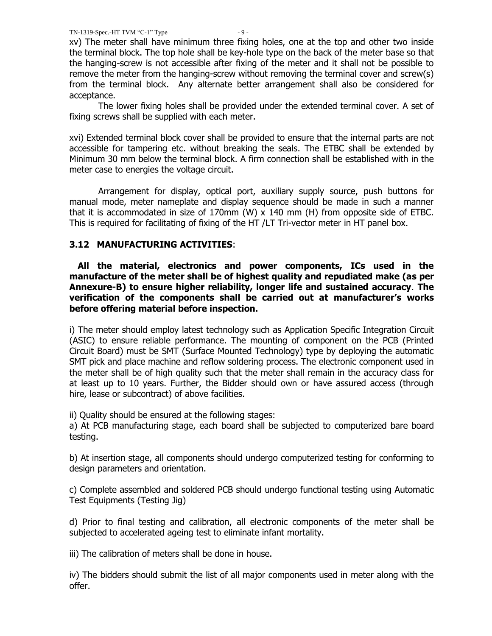xv) The meter shall have minimum three fixing holes, one at the top and other two inside the terminal block. The top hole shall be key-hole type on the back of the meter base so that the hanging-screw is not accessible after fixing of the meter and it shall not be possible to remove the meter from the hanging-screw without removing the terminal cover and screw(s) from the terminal block. Any alternate better arrangement shall also be considered for acceptance.

The lower fixing holes shall be provided under the extended terminal cover. A set of fixing screws shall be supplied with each meter.

xvi) Extended terminal block cover shall be provided to ensure that the internal parts are not accessible for tampering etc. without breaking the seals. The ETBC shall be extended by Minimum 30 mm below the terminal block. A firm connection shall be established with in the meter case to energies the voltage circuit.

Arrangement for display, optical port, auxiliary supply source, push buttons for manual mode, meter nameplate and display sequence should be made in such a manner that it is accommodated in size of 170mm (W)  $\times$  140 mm (H) from opposite side of ETBC. This is required for facilitating of fixing of the HT /LT Tri-vector meter in HT panel box.

## **3.12 MANUFACTURING ACTIVITIES**:

 **All the material, electronics and power components, ICs used in the manufacture of the meter shall be of highest quality and repudiated make (as per Annexure-B) to ensure higher reliability, longer life and sustained accuracy**. **The verification of the components shall be carried out at manufacturer"s works before offering material before inspection.** 

i) The meter should employ latest technology such as Application Specific Integration Circuit (ASIC) to ensure reliable performance. The mounting of component on the PCB (Printed Circuit Board) must be SMT (Surface Mounted Technology) type by deploying the automatic SMT pick and place machine and reflow soldering process. The electronic component used in the meter shall be of high quality such that the meter shall remain in the accuracy class for at least up to 10 years. Further, the Bidder should own or have assured access (through hire, lease or subcontract) of above facilities.

ii) Quality should be ensured at the following stages:

a) At PCB manufacturing stage, each board shall be subjected to computerized bare board testing.

b) At insertion stage, all components should undergo computerized testing for conforming to design parameters and orientation.

c) Complete assembled and soldered PCB should undergo functional testing using Automatic Test Equipments (Testing Jig)

d) Prior to final testing and calibration, all electronic components of the meter shall be subjected to accelerated ageing test to eliminate infant mortality.

iii) The calibration of meters shall be done in house.

iv) The bidders should submit the list of all major components used in meter along with the offer.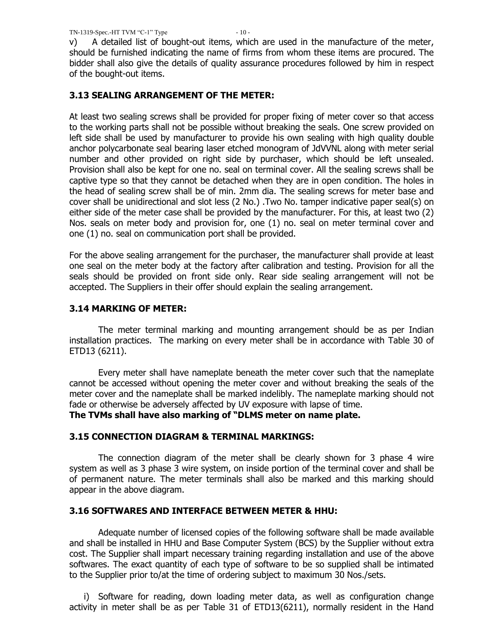v) A detailed list of bought-out items, which are used in the manufacture of the meter, should be furnished indicating the name of firms from whom these items are procured. The bidder shall also give the details of quality assurance procedures followed by him in respect of the bought-out items.

## **3.13 SEALING ARRANGEMENT OF THE METER:**

At least two sealing screws shall be provided for proper fixing of meter cover so that access to the working parts shall not be possible without breaking the seals. One screw provided on left side shall be used by manufacturer to provide his own sealing with high quality double anchor polycarbonate seal bearing laser etched monogram of JdVVNL along with meter serial number and other provided on right side by purchaser, which should be left unsealed. Provision shall also be kept for one no. seal on terminal cover. All the sealing screws shall be captive type so that they cannot be detached when they are in open condition. The holes in the head of sealing screw shall be of min. 2mm dia. The sealing screws for meter base and cover shall be unidirectional and slot less (2 No.) .Two No. tamper indicative paper seal(s) on either side of the meter case shall be provided by the manufacturer. For this, at least two (2) Nos. seals on meter body and provision for, one (1) no. seal on meter terminal cover and one (1) no. seal on communication port shall be provided.

For the above sealing arrangement for the purchaser, the manufacturer shall provide at least one seal on the meter body at the factory after calibration and testing. Provision for all the seals should be provided on front side only. Rear side sealing arrangement will not be accepted. The Suppliers in their offer should explain the sealing arrangement.

## **3.14 MARKING OF METER:**

The meter terminal marking and mounting arrangement should be as per Indian installation practices. The marking on every meter shall be in accordance with Table 30 of ETD13 (6211).

Every meter shall have nameplate beneath the meter cover such that the nameplate cannot be accessed without opening the meter cover and without breaking the seals of the meter cover and the nameplate shall be marked indelibly. The nameplate marking should not fade or otherwise be adversely affected by UV exposure with lapse of time.

**The TVMs shall have also marking of "DLMS meter on name plate.**

## **3.15 CONNECTION DIAGRAM & TERMINAL MARKINGS:**

The connection diagram of the meter shall be clearly shown for 3 phase 4 wire system as well as 3 phase 3 wire system, on inside portion of the terminal cover and shall be of permanent nature. The meter terminals shall also be marked and this marking should appear in the above diagram.

## **3.16 SOFTWARES AND INTERFACE BETWEEN METER & HHU:**

Adequate number of licensed copies of the following software shall be made available and shall be installed in HHU and Base Computer System (BCS) by the Supplier without extra cost. The Supplier shall impart necessary training regarding installation and use of the above softwares. The exact quantity of each type of software to be so supplied shall be intimated to the Supplier prior to/at the time of ordering subject to maximum 30 Nos./sets.

i) Software for reading, down loading meter data, as well as configuration change activity in meter shall be as per Table 31 of ETD13(6211), normally resident in the Hand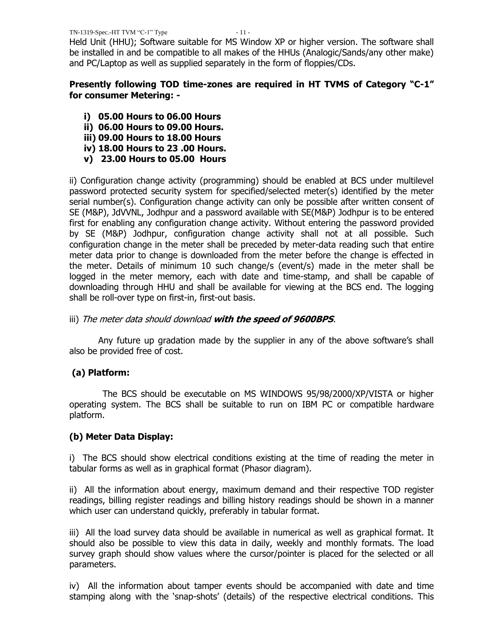Held Unit (HHU); Software suitable for MS Window XP or higher version. The software shall be installed in and be compatible to all makes of the HHUs (Analogic/Sands/any other make) and PC/Laptop as well as supplied separately in the form of floppies/CDs.

## **Presently following TOD time-zones are required in HT TVMS of Category "C-1" for consumer Metering: -**

- **i) 05.00 Hours to 06.00 Hours**
- **ii) 06.00 Hours to 09.00 Hours.**
- **iii) 09.00 Hours to 18.00 Hours**
- **iv) 18.00 Hours to 23 .00 Hours.**
- **v) 23.00 Hours to 05.00 Hours**

ii) Configuration change activity (programming) should be enabled at BCS under multilevel password protected security system for specified/selected meter(s) identified by the meter serial number(s). Configuration change activity can only be possible after written consent of SE (M&P), JdVVNL, Jodhpur and a password available with SE(M&P) Jodhpur is to be entered first for enabling any configuration change activity. Without entering the password provided by SE (M&P) Jodhpur, configuration change activity shall not at all possible. Such configuration change in the meter shall be preceded by meter-data reading such that entire meter data prior to change is downloaded from the meter before the change is effected in the meter. Details of minimum 10 such change/s (event/s) made in the meter shall be logged in the meter memory, each with date and time-stamp, and shall be capable of downloading through HHU and shall be available for viewing at the BCS end. The logging shall be roll-over type on first-in, first-out basis.

## iii) The meter data should download **with the speed of 9600BPS**.

Any future up gradation made by the supplier in any of the above software's shall also be provided free of cost.

## **(a) Platform:**

 The BCS should be executable on MS WINDOWS 95/98/2000/XP/VISTA or higher operating system. The BCS shall be suitable to run on IBM PC or compatible hardware platform.

## **(b) Meter Data Display:**

i) The BCS should show electrical conditions existing at the time of reading the meter in tabular forms as well as in graphical format (Phasor diagram).

ii) All the information about energy, maximum demand and their respective TOD register readings, billing register readings and billing history readings should be shown in a manner which user can understand quickly, preferably in tabular format.

iii) All the load survey data should be available in numerical as well as graphical format. It should also be possible to view this data in daily, weekly and monthly formats. The load survey graph should show values where the cursor/pointer is placed for the selected or all parameters.

iv) All the information about tamper events should be accompanied with date and time stamping along with the "snap-shots" (details) of the respective electrical conditions. This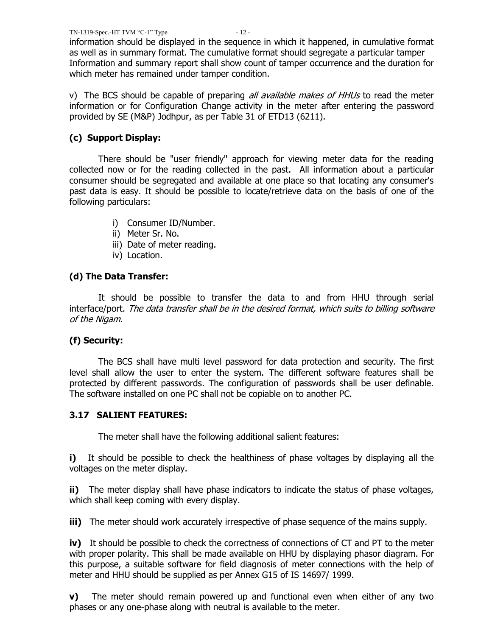information should be displayed in the sequence in which it happened, in cumulative format as well as in summary format. The cumulative format should segregate a particular tamper Information and summary report shall show count of tamper occurrence and the duration for which meter has remained under tamper condition.

v) The BCS should be capable of preparing *all available makes of HHUs* to read the meter information or for Configuration Change activity in the meter after entering the password provided by SE (M&P) Jodhpur, as per Table 31 of ETD13 (6211).

## **(c) Support Display:**

There should be "user friendly" approach for viewing meter data for the reading collected now or for the reading collected in the past. All information about a particular consumer should be segregated and available at one place so that locating any consumer's past data is easy. It should be possible to locate/retrieve data on the basis of one of the following particulars:

- i) Consumer ID/Number.
- ii) Meter Sr. No.
- iii) Date of meter reading.
- iv) Location.

## **(d) The Data Transfer:**

It should be possible to transfer the data to and from HHU through serial interface/port. The data transfer shall be in the desired format, which suits to billing software of the Nigam.

## **(f) Security:**

The BCS shall have multi level password for data protection and security. The first level shall allow the user to enter the system. The different software features shall be protected by different passwords. The configuration of passwords shall be user definable. The software installed on one PC shall not be copiable on to another PC.

## **3.17 SALIENT FEATURES:**

The meter shall have the following additional salient features:

**i)** It should be possible to check the healthiness of phase voltages by displaying all the voltages on the meter display.

**ii)** The meter display shall have phase indicators to indicate the status of phase voltages, which shall keep coming with every display.

**iii)** The meter should work accurately irrespective of phase sequence of the mains supply.

**iv)** It should be possible to check the correctness of connections of CT and PT to the meter with proper polarity. This shall be made available on HHU by displaying phasor diagram. For this purpose, a suitable software for field diagnosis of meter connections with the help of meter and HHU should be supplied as per Annex G15 of IS 14697/ 1999.

**v)** The meter should remain powered up and functional even when either of any two phases or any one-phase along with neutral is available to the meter.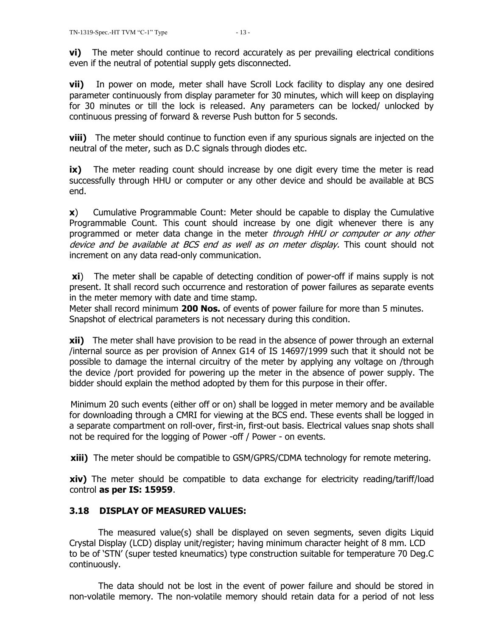**vi)** The meter should continue to record accurately as per prevailing electrical conditions even if the neutral of potential supply gets disconnected.

**vii)** In power on mode, meter shall have Scroll Lock facility to display any one desired parameter continuously from display parameter for 30 minutes, which will keep on displaying for 30 minutes or till the lock is released. Any parameters can be locked/ unlocked by continuous pressing of forward & reverse Push button for 5 seconds.

**viii)** The meter should continue to function even if any spurious signals are injected on the neutral of the meter, such as D.C signals through diodes etc.

**ix)** The meter reading count should increase by one digit every time the meter is read successfully through HHU or computer or any other device and should be available at BCS end.

**x**) Cumulative Programmable Count: Meter should be capable to display the Cumulative Programmable Count. This count should increase by one digit whenever there is any programmed or meter data change in the meter through HHU or computer or any other device and be available at BCS end as well as on meter display. This count should not increment on any data read-only communication.

**xi**) The meter shall be capable of detecting condition of power-off if mains supply is not present. It shall record such occurrence and restoration of power failures as separate events in the meter memory with date and time stamp.

Meter shall record minimum **200 Nos.** of events of power failure for more than 5 minutes. Snapshot of electrical parameters is not necessary during this condition.

**xii)** The meter shall have provision to be read in the absence of power through an external /internal source as per provision of Annex G14 of IS 14697/1999 such that it should not be possible to damage the internal circuitry of the meter by applying any voltage on /through the device /port provided for powering up the meter in the absence of power supply. The bidder should explain the method adopted by them for this purpose in their offer.

 Minimum 20 such events (either off or on) shall be logged in meter memory and be available for downloading through a CMRI for viewing at the BCS end. These events shall be logged in a separate compartment on roll-over, first-in, first-out basis. Electrical values snap shots shall not be required for the logging of Power -off / Power - on events.

**xiii)** The meter should be compatible to GSM/GPRS/CDMA technology for remote metering.

**xiv)** The meter should be compatible to data exchange for electricity reading/tariff/load control **as per IS: 15959**.

# **3.18 DISPLAY OF MEASURED VALUES:**

The measured value(s) shall be displayed on seven segments, seven digits Liquid Crystal Display (LCD) display unit/register; having minimum character height of 8 mm. LCD to be of "STN" (super tested kneumatics) type construction suitable for temperature 70 Deg.C continuously.

The data should not be lost in the event of power failure and should be stored in non-volatile memory. The non-volatile memory should retain data for a period of not less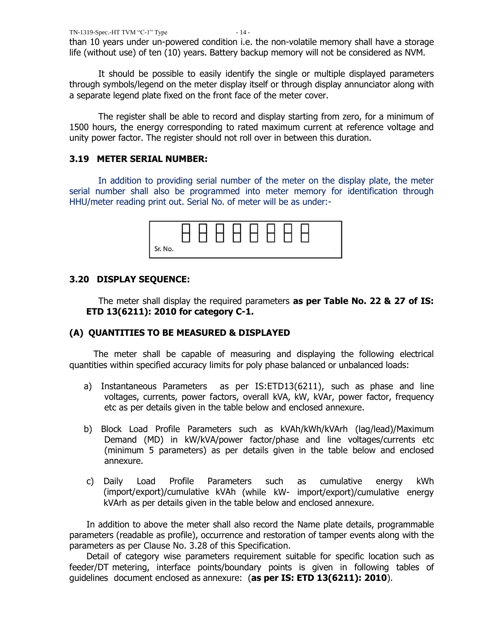than 10 years under un-powered condition i.e. the non-volatile memory shall have a storage life (without use) of ten (10) years. Battery backup memory will not be considered as NVM.

It should be possible to easily identify the single or multiple displayed parameters through symbols/legend on the meter display itself or through display annunciator along with a separate legend plate fixed on the front face of the meter cover.

 The register shall be able to record and display starting from zero, for a minimum of 1500 hours, the energy corresponding to rated maximum current at reference voltage and unity power factor. The register should not roll over in between this duration.

## **3.19 METER SERIAL NUMBER:**

In addition to providing serial number of the meter on the display plate, the meter serial number shall also be programmed into meter memory for identification through HHU/meter reading print out. Serial No. of meter will be as under:-

| Sr. No. |  |  |  |  |  |
|---------|--|--|--|--|--|

## **3.20 DISPLAY SEQUENCE:**

The meter shall display the required parameters **as per Table No. 22 & 27 of IS: ETD 13(6211): 2010 for category C-1.**

## **(A) QUANTITIES TO BE MEASURED & DISPLAYED**

 The meter shall be capable of measuring and displaying the following electrical quantities within specified accuracy limits for poly phase balanced or unbalanced loads:

- a) Instantaneous Parameters as per IS:ETD13(6211), such as phase and line voltages, currents, power factors, overall kVA, kW, kVAr, power factor, frequency etc as per details given in the table below and enclosed annexure.
- b) Block Load Profile Parameters such as kVAh/kWh/kVArh (lag/lead)/Maximum Demand (MD) in kW/kVA/power factor/phase and line voltages/currents etc (minimum 5 parameters) as per details given in the table below and enclosed annexure.
- c) Daily Load Profile Parameters such as cumulative energy kWh (import/export)/cumulative kVAh (while kW- import/export)/cumulative energy kVArh as per details given in the table below and enclosed annexure.

In addition to above the meter shall also record the Name plate details, programmable parameters (readable as profile), occurrence and restoration of tamper events along with the parameters as per Clause No. 3.28 of this Specification.

Detail of category wise parameters requirement suitable for specific location such as feeder/DT metering, interface points/boundary points is given in following tables of guidelines document enclosed as annexure: (**as per IS: ETD 13(6211): 2010**).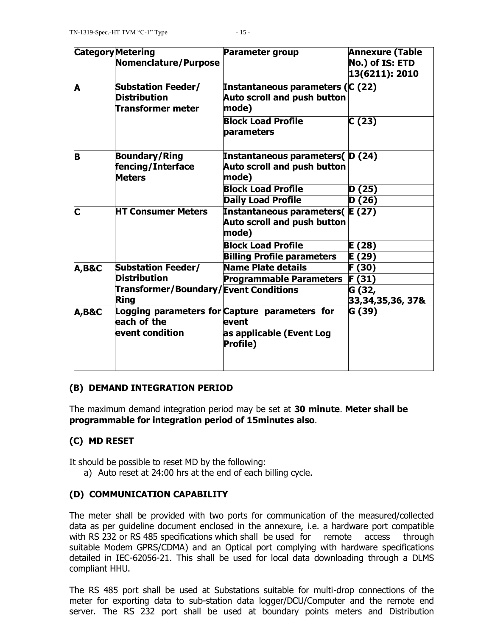|                         | <b>Category Metering</b>              | <b>Parameter group</b>                        | <b>Annexure (Table</b> |
|-------------------------|---------------------------------------|-----------------------------------------------|------------------------|
|                         | Nomenclature/Purpose                  |                                               | No.) of IS: ETD        |
|                         |                                       |                                               | 13(6211): 2010         |
| A                       | <b>Substation Feeder/</b>             | Instantaneous parameters (C (22)              |                        |
|                         | <b>Distribution</b>                   | <b>Auto scroll and push button</b>            |                        |
|                         | <b>Transformer meter</b>              | mode)                                         |                        |
|                         |                                       | <b>Block Load Profile</b><br>parameters       | C(23)                  |
|                         |                                       |                                               |                        |
| B                       | <b>Boundary/Ring</b>                  | Instantaneous parameters(D(24)                |                        |
|                         | fencing/Interface                     | <b>Auto scroll and push button</b>            |                        |
|                         | <b>Meters</b>                         | mode)                                         |                        |
|                         |                                       | <b>Block Load Profile</b>                     | D (25)                 |
|                         |                                       | <b>Daily Load Profile</b>                     | D (26)                 |
| $\overline{\mathbf{C}}$ | <b>HT Consumer Meters</b>             | Instantaneous parameters(E (27)               |                        |
|                         |                                       | <b>Auto scroll and push button</b>            |                        |
|                         |                                       | mode)                                         |                        |
|                         |                                       | <b>Block Load Profile</b>                     | E (28)                 |
|                         |                                       | <b>Billing Profile parameters</b>             | E (29)                 |
| <b>A,B&amp;C</b>        | <b>Substation Feeder/</b>             | Name Plate details                            | F (30)                 |
|                         | <b>Distribution</b>                   | <b>Programmable Parameters</b>                | F(31)                  |
|                         | Transformer/Boundary/Event Conditions |                                               | G (32,                 |
|                         | Ring                                  |                                               | 33,34,35,36, 37&       |
| <b>A,B&amp;C</b>        | each of the                           | Logging parameters for Capture parameters for | G (39)                 |
|                         |                                       | event                                         |                        |
|                         | event condition                       | as applicable (Event Log<br><b>Profile</b> )  |                        |
|                         |                                       |                                               |                        |
|                         |                                       |                                               |                        |

## **(B) DEMAND INTEGRATION PERIOD**

The maximum demand integration period may be set at **30 minute**. **Meter shall be programmable for integration period of 15minutes also**.

## **(C) MD RESET**

It should be possible to reset MD by the following:

a) Auto reset at 24:00 hrs at the end of each billing cycle.

## **(D) COMMUNICATION CAPABILITY**

The meter shall be provided with two ports for communication of the measured/collected data as per guideline document enclosed in the annexure, i.e. a hardware port compatible with RS 232 or RS 485 specifications which shall be used for remote access through suitable Modem GPRS/CDMA) and an Optical port complying with hardware specifications detailed in IEC-62056-21. This shall be used for local data downloading through a DLMS compliant HHU.

The RS 485 port shall be used at Substations suitable for multi-drop connections of the meter for exporting data to sub-station data logger/DCU/Computer and the remote end server. The RS 232 port shall be used at boundary points meters and Distribution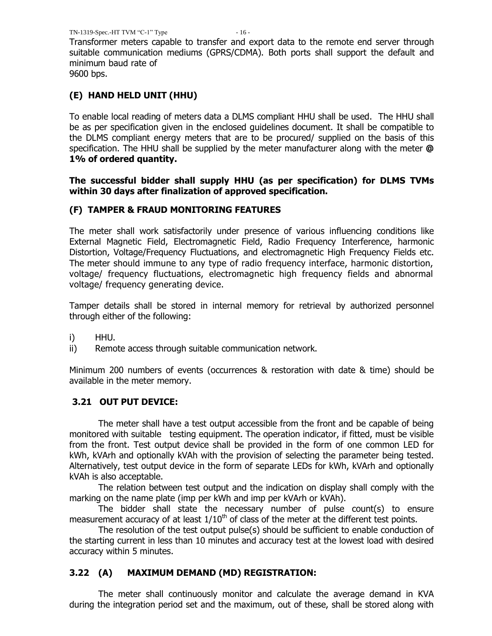Transformer meters capable to transfer and export data to the remote end server through suitable communication mediums (GPRS/CDMA). Both ports shall support the default and minimum baud rate of

9600 bps.

## **(E) HAND HELD UNIT (HHU)**

To enable local reading of meters data a DLMS compliant HHU shall be used. The HHU shall be as per specification given in the enclosed guidelines document. It shall be compatible to the DLMS compliant energy meters that are to be procured/ supplied on the basis of this specification. The HHU shall be supplied by the meter manufacturer along with the meter **@ 1% of ordered quantity.**

## **The successful bidder shall supply HHU (as per specification) for DLMS TVMs within 30 days after finalization of approved specification.**

## **(F) TAMPER & FRAUD MONITORING FEATURES**

The meter shall work satisfactorily under presence of various influencing conditions like External Magnetic Field, Electromagnetic Field, Radio Frequency Interference, harmonic Distortion, Voltage/Frequency Fluctuations, and electromagnetic High Frequency Fields etc. The meter should immune to any type of radio frequency interface, harmonic distortion, voltage/ frequency fluctuations, electromagnetic high frequency fields and abnormal voltage/ frequency generating device.

Tamper details shall be stored in internal memory for retrieval by authorized personnel through either of the following:

i) HHU.

ii) Remote access through suitable communication network.

Minimum 200 numbers of events (occurrences & restoration with date & time) should be available in the meter memory.

## **3.21 OUT PUT DEVICE:**

The meter shall have a test output accessible from the front and be capable of being monitored with suitable testing equipment. The operation indicator, if fitted, must be visible from the front. Test output device shall be provided in the form of one common LED for kWh, kVArh and optionally kVAh with the provision of selecting the parameter being tested. Alternatively, test output device in the form of separate LEDs for kWh, kVArh and optionally kVAh is also acceptable.

The relation between test output and the indication on display shall comply with the marking on the name plate (imp per kWh and imp per kVArh or kVAh).

The bidder shall state the necessary number of pulse count(s) to ensure measurement accuracy of at least  $1/10<sup>th</sup>$  of class of the meter at the different test points.

The resolution of the test output pulse(s) should be sufficient to enable conduction of the starting current in less than 10 minutes and accuracy test at the lowest load with desired accuracy within 5 minutes.

## **3.22 (A) MAXIMUM DEMAND (MD) REGISTRATION:**

The meter shall continuously monitor and calculate the average demand in KVA during the integration period set and the maximum, out of these, shall be stored along with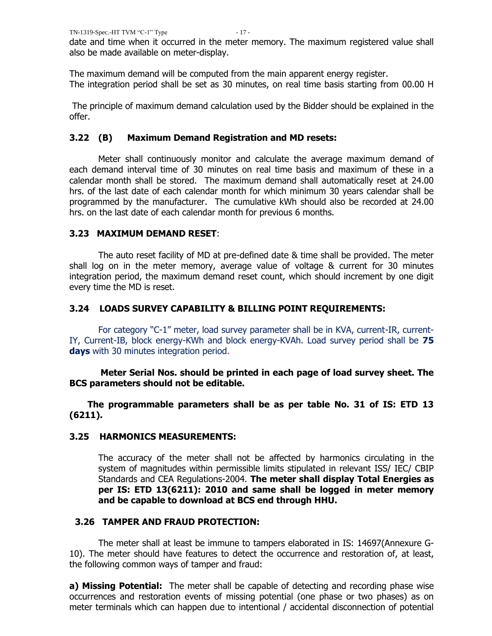date and time when it occurred in the meter memory. The maximum registered value shall also be made available on meter-display.

The maximum demand will be computed from the main apparent energy register. The integration period shall be set as 30 minutes, on real time basis starting from 00.00 H

The principle of maximum demand calculation used by the Bidder should be explained in the offer.

## **3.22 (B) Maximum Demand Registration and MD resets:**

Meter shall continuously monitor and calculate the average maximum demand of each demand interval time of 30 minutes on real time basis and maximum of these in a calendar month shall be stored. The maximum demand shall automatically reset at 24.00 hrs. of the last date of each calendar month for which minimum 30 years calendar shall be programmed by the manufacturer. The cumulative kWh should also be recorded at 24.00 hrs. on the last date of each calendar month for previous 6 months.

## **3.23 MAXIMUM DEMAND RESET**:

The auto reset facility of MD at pre-defined date & time shall be provided. The meter shall log on in the meter memory, average value of voltage & current for 30 minutes integration period, the maximum demand reset count, which should increment by one digit every time the MD is reset.

## **3.24 LOADS SURVEY CAPABILITY & BILLING POINT REQUIREMENTS:**

 For category "C-1" meter, load survey parameter shall be in KVA, current-IR, current-IY, Current-IB, block energy-KWh and block energy-KVAh. Load survey period shall be **75 days** with 30 minutes integration period.

 **Meter Serial Nos. should be printed in each page of load survey sheet. The BCS parameters should not be editable.**

 **The programmable parameters shall be as per table No. 31 of IS: ETD 13 (6211).**

## **3.25 HARMONICS MEASUREMENTS:**

The accuracy of the meter shall not be affected by harmonics circulating in the system of magnitudes within permissible limits stipulated in relevant ISS/ IEC/ CBIP Standards and CEA Regulations-2004. **The meter shall display Total Energies as per IS: ETD 13(6211): 2010 and same shall be logged in meter memory and be capable to download at BCS end through HHU.**

## **3.26 TAMPER AND FRAUD PROTECTION:**

The meter shall at least be immune to tampers elaborated in IS: 14697(Annexure G-10). The meter should have features to detect the occurrence and restoration of, at least, the following common ways of tamper and fraud:

**a) Missing Potential:** The meter shall be capable of detecting and recording phase wise occurrences and restoration events of missing potential (one phase or two phases) as on meter terminals which can happen due to intentional / accidental disconnection of potential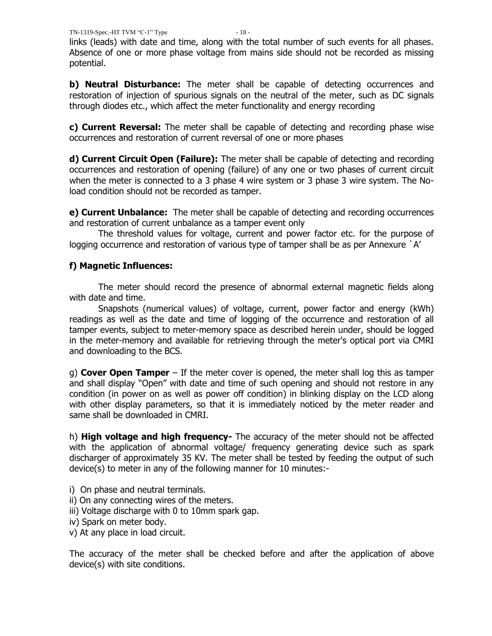links (leads) with date and time, along with the total number of such events for all phases. Absence of one or more phase voltage from mains side should not be recorded as missing potential.

**b) Neutral Disturbance:** The meter shall be capable of detecting occurrences and restoration of injection of spurious signals on the neutral of the meter, such as DC signals through diodes etc., which affect the meter functionality and energy recording

**c) Current Reversal:** The meter shall be capable of detecting and recording phase wise occurrences and restoration of current reversal of one or more phases

**d) Current Circuit Open (Failure):** The meter shall be capable of detecting and recording occurrences and restoration of opening (failure) of any one or two phases of current circuit when the meter is connected to a 3 phase 4 wire system or 3 phase 3 wire system. The Noload condition should not be recorded as tamper.

**e) Current Unbalance:** The meter shall be capable of detecting and recording occurrences and restoration of current unbalance as a tamper event only

The threshold values for voltage, current and power factor etc. for the purpose of logging occurrence and restoration of various type of tamper shall be as per Annexure `A'

# **f) Magnetic Influences:**

The meter should record the presence of abnormal external magnetic fields along with date and time.

Snapshots (numerical values) of voltage, current, power factor and energy (kWh) readings as well as the date and time of logging of the occurrence and restoration of all tamper events, subject to meter-memory space as described herein under, should be logged in the meter-memory and available for retrieving through the meter's optical port via CMRI and downloading to the BCS.

g) **Cover Open Tamper** – If the meter cover is opened, the meter shall log this as tamper and shall display "Open" with date and time of such opening and should not restore in any condition (in power on as well as power off condition) in blinking display on the LCD along with other display parameters, so that it is immediately noticed by the meter reader and same shall be downloaded in CMRI.

h) **High voltage and high frequency-** The accuracy of the meter should not be affected with the application of abnormal voltage/ frequency generating device such as spark discharger of approximately 35 KV. The meter shall be tested by feeding the output of such device(s) to meter in any of the following manner for 10 minutes:-

- i) On phase and neutral terminals.
- ii) On any connecting wires of the meters.
- iii) Voltage discharge with 0 to 10mm spark gap.
- iv) Spark on meter body.
- v) At any place in load circuit.

The accuracy of the meter shall be checked before and after the application of above device(s) with site conditions.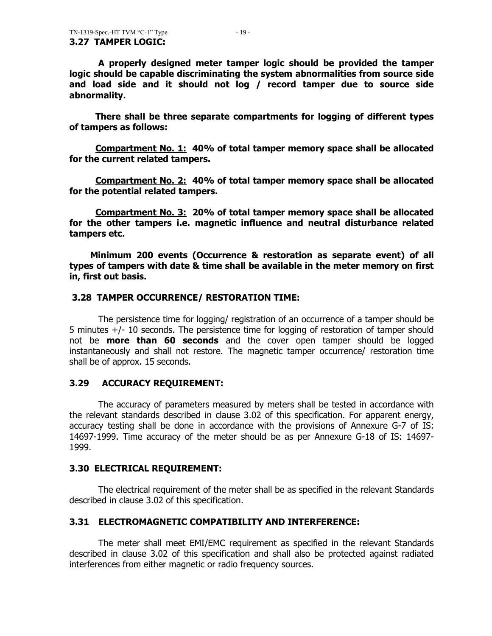**A properly designed meter tamper logic should be provided the tamper logic should be capable discriminating the system abnormalities from source side and load side and it should not log / record tamper due to source side abnormality.** 

 **There shall be three separate compartments for logging of different types of tampers as follows:** 

 **Compartment No. 1: 40% of total tamper memory space shall be allocated for the current related tampers.**

 **Compartment No. 2: 40% of total tamper memory space shall be allocated for the potential related tampers.**

 **Compartment No. 3: 20% of total tamper memory space shall be allocated for the other tampers i.e. magnetic influence and neutral disturbance related tampers etc.**

 **Minimum 200 events (Occurrence & restoration as separate event) of all types of tampers with date & time shall be available in the meter memory on first in, first out basis.** 

#### **3.28 TAMPER OCCURRENCE/ RESTORATION TIME:**

 The persistence time for logging/ registration of an occurrence of a tamper should be 5 minutes +/- 10 seconds. The persistence time for logging of restoration of tamper should not be **more than 60 seconds** and the cover open tamper should be logged instantaneously and shall not restore. The magnetic tamper occurrence/ restoration time shall be of approx. 15 seconds.

## **3.29 ACCURACY REQUIREMENT:**

The accuracy of parameters measured by meters shall be tested in accordance with the relevant standards described in clause 3.02 of this specification. For apparent energy, accuracy testing shall be done in accordance with the provisions of Annexure G-7 of IS: 14697-1999. Time accuracy of the meter should be as per Annexure G-18 of IS: 14697- 1999.

## **3.30 ELECTRICAL REQUIREMENT:**

The electrical requirement of the meter shall be as specified in the relevant Standards described in clause 3.02 of this specification.

## **3.31 ELECTROMAGNETIC COMPATIBILITY AND INTERFERENCE:**

The meter shall meet EMI/EMC requirement as specified in the relevant Standards described in clause 3.02 of this specification and shall also be protected against radiated interferences from either magnetic or radio frequency sources.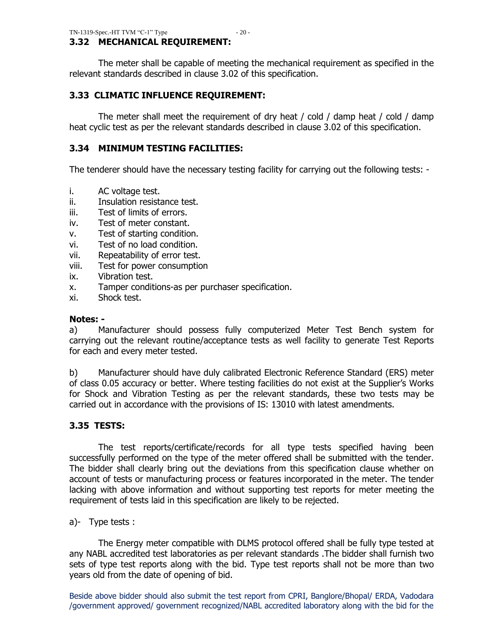## **3.32 MECHANICAL REQUIREMENT:**

The meter shall be capable of meeting the mechanical requirement as specified in the relevant standards described in clause 3.02 of this specification.

## **3.33 CLIMATIC INFLUENCE REQUIREMENT:**

The meter shall meet the requirement of dry heat / cold / damp heat / cold / damp heat cyclic test as per the relevant standards described in clause 3.02 of this specification.

## **3.34 MINIMUM TESTING FACILITIES:**

The tenderer should have the necessary testing facility for carrying out the following tests: -

- i. AC voltage test.
- ii. Insulation resistance test.
- iii. Test of limits of errors.
- iv. Test of meter constant.
- v. Test of starting condition.
- vi. Test of no load condition.
- vii. Repeatability of error test.
- viii. Test for power consumption
- ix. Vibration test.
- x. Tamper conditions-as per purchaser specification.
- xi. Shock test.

#### **Notes: -**

a) Manufacturer should possess fully computerized Meter Test Bench system for carrying out the relevant routine/acceptance tests as well facility to generate Test Reports for each and every meter tested.

b) Manufacturer should have duly calibrated Electronic Reference Standard (ERS) meter of class 0.05 accuracy or better. Where testing facilities do not exist at the Supplier"s Works for Shock and Vibration Testing as per the relevant standards, these two tests may be carried out in accordance with the provisions of IS: 13010 with latest amendments.

## **3.35 TESTS:**

The test reports/certificate/records for all type tests specified having been successfully performed on the type of the meter offered shall be submitted with the tender. The bidder shall clearly bring out the deviations from this specification clause whether on account of tests or manufacturing process or features incorporated in the meter. The tender lacking with above information and without supporting test reports for meter meeting the requirement of tests laid in this specification are likely to be rejected.

#### a)- Type tests :

The Energy meter compatible with DLMS protocol offered shall be fully type tested at any NABL accredited test laboratories as per relevant standards .The bidder shall furnish two sets of type test reports along with the bid. Type test reports shall not be more than two years old from the date of opening of bid.

Beside above bidder should also submit the test report from CPRI, Banglore/Bhopal/ ERDA, Vadodara /government approved/ government recognized/NABL accredited laboratory along with the bid for the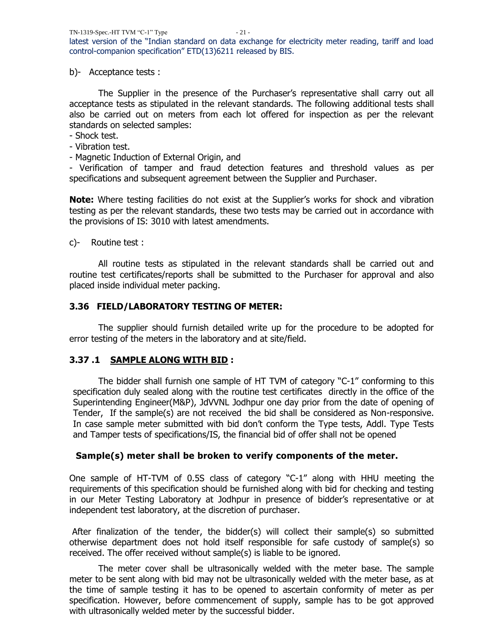b)- Acceptance tests :

The Supplier in the presence of the Purchaser's representative shall carry out all acceptance tests as stipulated in the relevant standards. The following additional tests shall also be carried out on meters from each lot offered for inspection as per the relevant standards on selected samples:

- Shock test.
- Vibration test.
- Magnetic Induction of External Origin, and

- Verification of tamper and fraud detection features and threshold values as per specifications and subsequent agreement between the Supplier and Purchaser.

**Note:** Where testing facilities do not exist at the Supplier's works for shock and vibration testing as per the relevant standards, these two tests may be carried out in accordance with the provisions of IS: 3010 with latest amendments.

c)- Routine test :

All routine tests as stipulated in the relevant standards shall be carried out and routine test certificates/reports shall be submitted to the Purchaser for approval and also placed inside individual meter packing.

## **3.36 FIELD/LABORATORY TESTING OF METER:**

The supplier should furnish detailed write up for the procedure to be adopted for error testing of the meters in the laboratory and at site/field.

## **3.37 .1 SAMPLE ALONG WITH BID :**

 The bidder shall furnish one sample of HT TVM of category "C-1" conforming to this specification duly sealed along with the routine test certificates directly in the office of the Superintending Engineer(M&P), JdVVNL Jodhpur one day prior from the date of opening of Tender, If the sample(s) are not received the bid shall be considered as Non-responsive. In case sample meter submitted with bid don"t conform the Type tests, Addl. Type Tests and Tamper tests of specifications/IS, the financial bid of offer shall not be opened

## **Sample(s) meter shall be broken to verify components of the meter.**

One sample of HT-TVM of 0.5S class of category "C-1" along with HHU meeting the requirements of this specification should be furnished along with bid for checking and testing in our Meter Testing Laboratory at Jodhpur in presence of bidder's representative or at independent test laboratory, at the discretion of purchaser.

After finalization of the tender, the bidder(s) will collect their sample(s) so submitted otherwise department does not hold itself responsible for safe custody of sample(s) so received. The offer received without sample(s) is liable to be ignored.

The meter cover shall be ultrasonically welded with the meter base. The sample meter to be sent along with bid may not be ultrasonically welded with the meter base, as at the time of sample testing it has to be opened to ascertain conformity of meter as per specification. However, before commencement of supply, sample has to be got approved with ultrasonically welded meter by the successful bidder.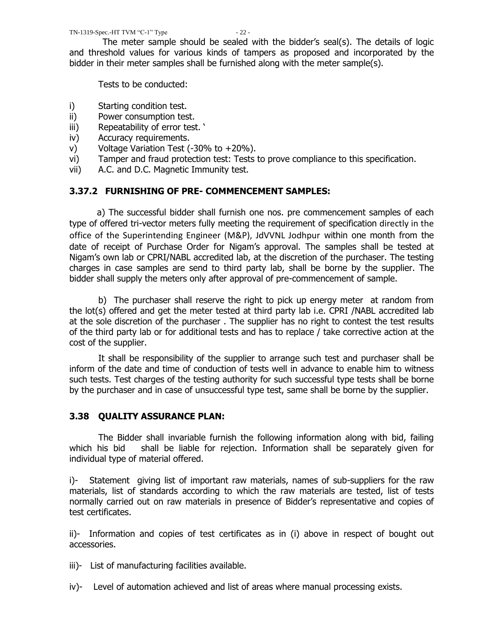The meter sample should be sealed with the bidder"s seal(s). The details of logic and threshold values for various kinds of tampers as proposed and incorporated by the bidder in their meter samples shall be furnished along with the meter sample(s).

Tests to be conducted:

- i) Starting condition test.
- ii) Power consumption test.
- iii) Repeatability of error test.
- iv) Accuracy requirements.
- v) Voltage Variation Test  $(-30\% \text{ to } +20\%).$
- vi) Tamper and fraud protection test: Tests to prove compliance to this specification.
- vii) A.C. and D.C. Magnetic Immunity test.

## **3.37.2 FURNISHING OF PRE- COMMENCEMENT SAMPLES:**

 a) The successful bidder shall furnish one nos. pre commencement samples of each type of offered tri-vector meters fully meeting the requirement of specification directly in the office of the Superintending Engineer (M&P), JdVVNL Jodhpur within one month from the date of receipt of Purchase Order for Nigam"s approval. The samples shall be tested at Nigam"s own lab or CPRI/NABL accredited lab, at the discretion of the purchaser. The testing charges in case samples are send to third party lab, shall be borne by the supplier. The bidder shall supply the meters only after approval of pre-commencement of sample.

b) The purchaser shall reserve the right to pick up energy meter at random from the lot(s) offered and get the meter tested at third party lab i.e. CPRI /NABL accredited lab at the sole discretion of the purchaser . The supplier has no right to contest the test results of the third party lab or for additional tests and has to replace / take corrective action at the cost of the supplier.

It shall be responsibility of the supplier to arrange such test and purchaser shall be inform of the date and time of conduction of tests well in advance to enable him to witness such tests. Test charges of the testing authority for such successful type tests shall be borne by the purchaser and in case of unsuccessful type test, same shall be borne by the supplier.

## **3.38 QUALITY ASSURANCE PLAN:**

The Bidder shall invariable furnish the following information along with bid, failing which his bid shall be liable for rejection. Information shall be separately given for individual type of material offered.

i)- Statement giving list of important raw materials, names of sub-suppliers for the raw materials, list of standards according to which the raw materials are tested, list of tests normally carried out on raw materials in presence of Bidder"s representative and copies of test certificates.

ii)- Information and copies of test certificates as in (i) above in respect of bought out accessories.

- iii)- List of manufacturing facilities available.
- iv)- Level of automation achieved and list of areas where manual processing exists.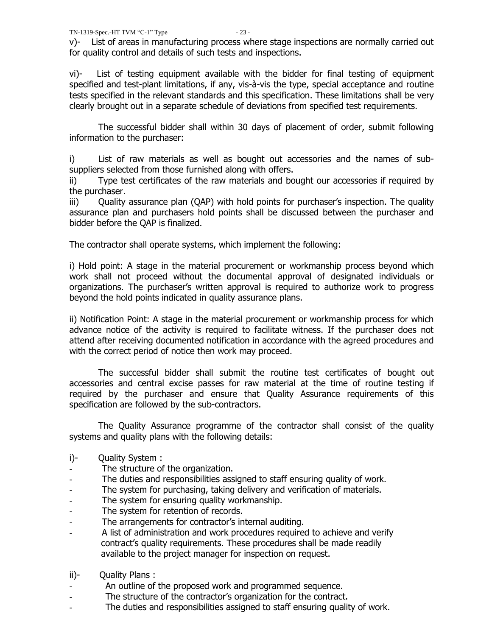v)- List of areas in manufacturing process where stage inspections are normally carried out for quality control and details of such tests and inspections.

vi)- List of testing equipment available with the bidder for final testing of equipment specified and test-plant limitations, if any, vis-à-vis the type, special acceptance and routine tests specified in the relevant standards and this specification. These limitations shall be very clearly brought out in a separate schedule of deviations from specified test requirements.

The successful bidder shall within 30 days of placement of order, submit following information to the purchaser:

i) List of raw materials as well as bought out accessories and the names of subsuppliers selected from those furnished along with offers.

ii) Type test certificates of the raw materials and bought our accessories if required by the purchaser.

iii) Quality assurance plan (QAP) with hold points for purchaser's inspection. The quality assurance plan and purchasers hold points shall be discussed between the purchaser and bidder before the QAP is finalized.

The contractor shall operate systems, which implement the following:

i) Hold point: A stage in the material procurement or workmanship process beyond which work shall not proceed without the documental approval of designated individuals or organizations. The purchaser's written approval is required to authorize work to progress beyond the hold points indicated in quality assurance plans.

ii) Notification Point: A stage in the material procurement or workmanship process for which advance notice of the activity is required to facilitate witness. If the purchaser does not attend after receiving documented notification in accordance with the agreed procedures and with the correct period of notice then work may proceed.

The successful bidder shall submit the routine test certificates of bought out accessories and central excise passes for raw material at the time of routine testing if required by the purchaser and ensure that Quality Assurance requirements of this specification are followed by the sub-contractors.

The Quality Assurance programme of the contractor shall consist of the quality systems and quality plans with the following details:

- i)- Quality System :
- The structure of the organization.
- The duties and responsibilities assigned to staff ensuring quality of work.
- The system for purchasing, taking delivery and verification of materials.
- The system for ensuring quality workmanship.
- The system for retention of records.
- The arrangements for contractor's internal auditing.
- A list of administration and work procedures required to achieve and verify contract"s quality requirements. These procedures shall be made readily available to the project manager for inspection on request.
- ii)- Quality Plans :
- An outline of the proposed work and programmed sequence.
- The structure of the contractor's organization for the contract.
- The duties and responsibilities assigned to staff ensuring quality of work.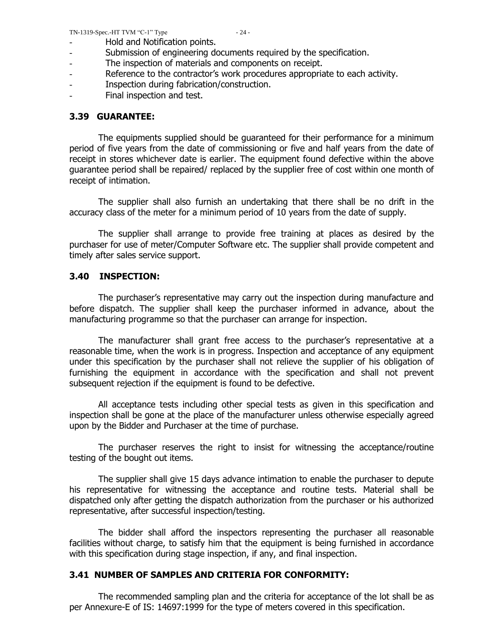- Hold and Notification points.
- Submission of engineering documents required by the specification.
- The inspection of materials and components on receipt.
- Reference to the contractor's work procedures appropriate to each activity.
- Inspection during fabrication/construction.
- Final inspection and test.

## **3.39 GUARANTEE:**

The equipments supplied should be guaranteed for their performance for a minimum period of five years from the date of commissioning or five and half years from the date of receipt in stores whichever date is earlier. The equipment found defective within the above guarantee period shall be repaired/ replaced by the supplier free of cost within one month of receipt of intimation.

The supplier shall also furnish an undertaking that there shall be no drift in the accuracy class of the meter for a minimum period of 10 years from the date of supply.

The supplier shall arrange to provide free training at places as desired by the purchaser for use of meter/Computer Software etc. The supplier shall provide competent and timely after sales service support.

## **3.40 INSPECTION:**

The purchaser"s representative may carry out the inspection during manufacture and before dispatch. The supplier shall keep the purchaser informed in advance, about the manufacturing programme so that the purchaser can arrange for inspection.

The manufacturer shall grant free access to the purchaser"s representative at a reasonable time, when the work is in progress. Inspection and acceptance of any equipment under this specification by the purchaser shall not relieve the supplier of his obligation of furnishing the equipment in accordance with the specification and shall not prevent subsequent rejection if the equipment is found to be defective.

All acceptance tests including other special tests as given in this specification and inspection shall be gone at the place of the manufacturer unless otherwise especially agreed upon by the Bidder and Purchaser at the time of purchase.

The purchaser reserves the right to insist for witnessing the acceptance/routine testing of the bought out items.

The supplier shall give 15 days advance intimation to enable the purchaser to depute his representative for witnessing the acceptance and routine tests. Material shall be dispatched only after getting the dispatch authorization from the purchaser or his authorized representative, after successful inspection/testing.

The bidder shall afford the inspectors representing the purchaser all reasonable facilities without charge, to satisfy him that the equipment is being furnished in accordance with this specification during stage inspection, if any, and final inspection.

## **3.41 NUMBER OF SAMPLES AND CRITERIA FOR CONFORMITY:**

The recommended sampling plan and the criteria for acceptance of the lot shall be as per Annexure-E of IS: 14697:1999 for the type of meters covered in this specification.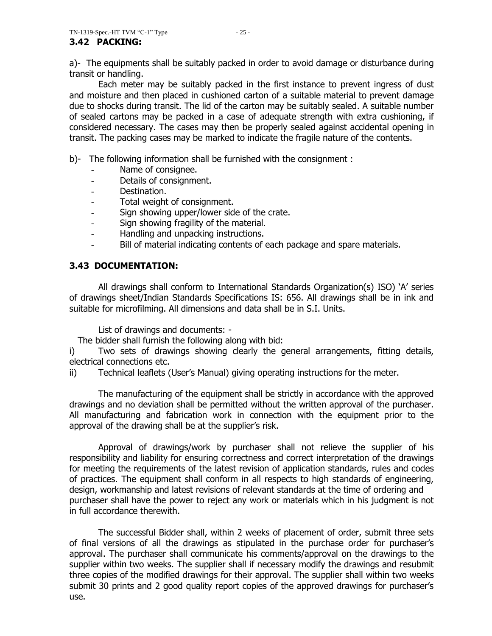a)- The equipments shall be suitably packed in order to avoid damage or disturbance during transit or handling.

Each meter may be suitably packed in the first instance to prevent ingress of dust and moisture and then placed in cushioned carton of a suitable material to prevent damage due to shocks during transit. The lid of the carton may be suitably sealed. A suitable number of sealed cartons may be packed in a case of adequate strength with extra cushioning, if considered necessary. The cases may then be properly sealed against accidental opening in transit. The packing cases may be marked to indicate the fragile nature of the contents.

b)- The following information shall be furnished with the consignment :

- Name of consignee.
- Details of consignment.
- Destination.
- Total weight of consignment.
- Sign showing upper/lower side of the crate.
- Sign showing fragility of the material.
- Handling and unpacking instructions.
- Bill of material indicating contents of each package and spare materials.

## **3.43 DOCUMENTATION:**

All drawings shall conform to International Standards Organization(s) ISO) "A" series of drawings sheet/Indian Standards Specifications IS: 656. All drawings shall be in ink and suitable for microfilming. All dimensions and data shall be in S.I. Units.

List of drawings and documents: -

The bidder shall furnish the following along with bid:

i) Two sets of drawings showing clearly the general arrangements, fitting details, electrical connections etc.

ii) Technical leaflets (User"s Manual) giving operating instructions for the meter.

The manufacturing of the equipment shall be strictly in accordance with the approved drawings and no deviation shall be permitted without the written approval of the purchaser. All manufacturing and fabrication work in connection with the equipment prior to the approval of the drawing shall be at the supplier"s risk.

Approval of drawings/work by purchaser shall not relieve the supplier of his responsibility and liability for ensuring correctness and correct interpretation of the drawings for meeting the requirements of the latest revision of application standards, rules and codes of practices. The equipment shall conform in all respects to high standards of engineering, design, workmanship and latest revisions of relevant standards at the time of ordering and purchaser shall have the power to reject any work or materials which in his judgment is not in full accordance therewith.

The successful Bidder shall, within 2 weeks of placement of order, submit three sets of final versions of all the drawings as stipulated in the purchase order for purchaser"s approval. The purchaser shall communicate his comments/approval on the drawings to the supplier within two weeks. The supplier shall if necessary modify the drawings and resubmit three copies of the modified drawings for their approval. The supplier shall within two weeks submit 30 prints and 2 good quality report copies of the approved drawings for purchaser's use.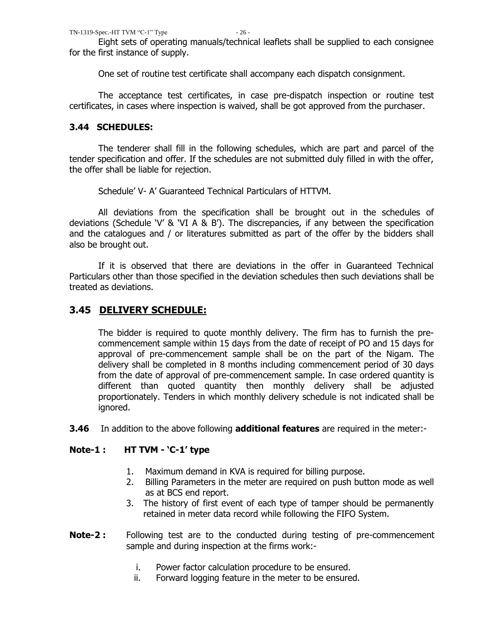Eight sets of operating manuals/technical leaflets shall be supplied to each consignee for the first instance of supply.

One set of routine test certificate shall accompany each dispatch consignment.

The acceptance test certificates, in case pre-dispatch inspection or routine test certificates, in cases where inspection is waived, shall be got approved from the purchaser.

## **3.44 SCHEDULES:**

The tenderer shall fill in the following schedules, which are part and parcel of the tender specification and offer. If the schedules are not submitted duly filled in with the offer, the offer shall be liable for rejection.

Schedule" V- A" Guaranteed Technical Particulars of HTTVM.

All deviations from the specification shall be brought out in the schedules of deviations (Schedule "V" & "VI A & B"). The discrepancies, if any between the specification and the catalogues and / or literatures submitted as part of the offer by the bidders shall also be brought out.

If it is observed that there are deviations in the offer in Guaranteed Technical Particulars other than those specified in the deviation schedules then such deviations shall be treated as deviations.

## **3.45 DELIVERY SCHEDULE:**

The bidder is required to quote monthly delivery. The firm has to furnish the precommencement sample within 15 days from the date of receipt of PO and 15 days for approval of pre-commencement sample shall be on the part of the Nigam. The delivery shall be completed in 8 months including commencement period of 30 days from the date of approval of pre-commencement sample. In case ordered quantity is different than quoted quantity then monthly delivery shall be adjusted proportionately. Tenders in which monthly delivery schedule is not indicated shall be ignored.

**3.46** In addition to the above following **additional features** are required in the meter:-

## **Note-1 : HT TVM - "C-1" type**

- 1. Maximum demand in KVA is required for billing purpose.
- 2. Billing Parameters in the meter are required on push button mode as well as at BCS end report.
- 3. The history of first event of each type of tamper should be permanently retained in meter data record while following the FIFO System.
- **Note-2 :** Following test are to the conducted during testing of pre-commencement sample and during inspection at the firms work:
	- i. Power factor calculation procedure to be ensured.
	- ii. Forward logging feature in the meter to be ensured.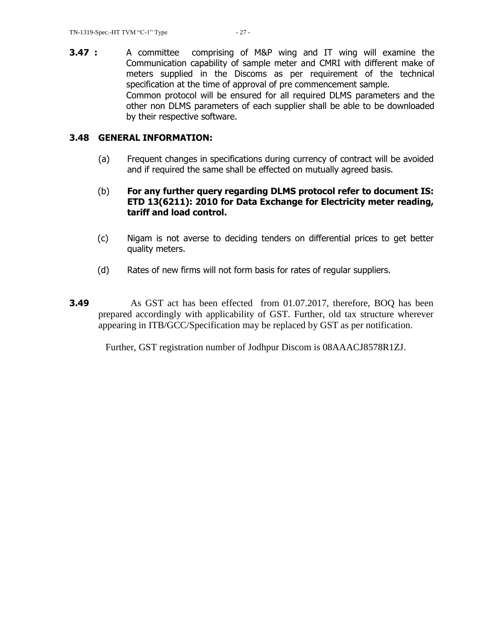**3.47 :** A committee comprising of M&P wing and IT wing will examine the Communication capability of sample meter and CMRI with different make of meters supplied in the Discoms as per requirement of the technical specification at the time of approval of pre commencement sample. Common protocol will be ensured for all required DLMS parameters and the other non DLMS parameters of each supplier shall be able to be downloaded by their respective software.

#### **3.48 GENERAL INFORMATION:**

- (a) Frequent changes in specifications during currency of contract will be avoided and if required the same shall be effected on mutually agreed basis.
- (b) **For any further query regarding DLMS protocol refer to document IS: ETD 13(6211): 2010 for Data Exchange for Electricity meter reading, tariff and load control.**
- (c) Nigam is not averse to deciding tenders on differential prices to get better quality meters.
- (d) Rates of new firms will not form basis for rates of regular suppliers.
- **3.49** As GST act has been effected from 01.07.2017, therefore, BOQ has been prepared accordingly with applicability of GST. Further, old tax structure wherever appearing in ITB/GCC/Specification may be replaced by GST as per notification.

Further, GST registration number of Jodhpur Discom is 08AAACJ8578R1ZJ.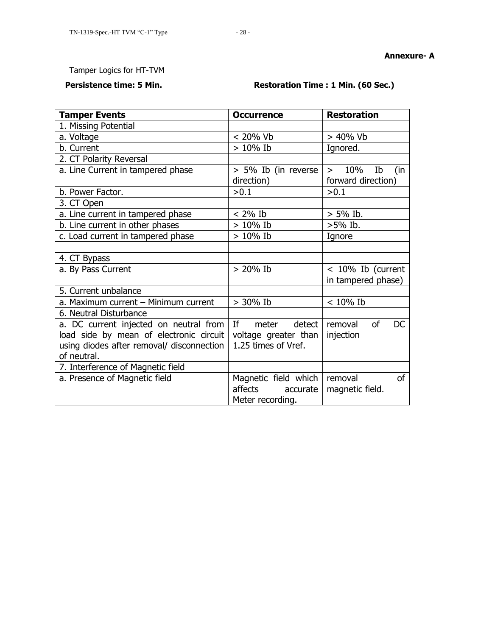#### **Annexure- A**

## Tamper Logics for HT-TVM

## **Persistence time: 5 Min. Restoration Time : 1 Min. (60 Sec.)**

| <b>Tamper Events</b>                                                                                                                          | <b>Occurrence</b>                                                                                                                                                                 | <b>Restoration</b>                               |
|-----------------------------------------------------------------------------------------------------------------------------------------------|-----------------------------------------------------------------------------------------------------------------------------------------------------------------------------------|--------------------------------------------------|
| 1. Missing Potential                                                                                                                          |                                                                                                                                                                                   |                                                  |
| a. Voltage                                                                                                                                    | < 20% Vb                                                                                                                                                                          | $> 40\%$ Vb                                      |
| b. Current                                                                                                                                    | $> 10\%$ Ib                                                                                                                                                                       | Ignored.                                         |
| 2. CT Polarity Reversal                                                                                                                       |                                                                                                                                                                                   |                                                  |
| a. Line Current in tampered phase                                                                                                             | > 5% Ib (in reverse<br>direction)                                                                                                                                                 | 10%<br>Ib<br>(in<br>$\geq$<br>forward direction) |
| b. Power Factor.                                                                                                                              | >0.1                                                                                                                                                                              | >0.1                                             |
| 3. CT Open                                                                                                                                    |                                                                                                                                                                                   |                                                  |
| a. Line current in tampered phase                                                                                                             | $< 2\%$ Ib                                                                                                                                                                        | $> 5\%$ Ib.                                      |
| b. Line current in other phases                                                                                                               | $> 10\%$ Ib                                                                                                                                                                       | $>5\%$ Ib.                                       |
| c. Load current in tampered phase                                                                                                             | $> 10\%$ Ib                                                                                                                                                                       | Ignore                                           |
|                                                                                                                                               |                                                                                                                                                                                   |                                                  |
| 4. CT Bypass                                                                                                                                  |                                                                                                                                                                                   |                                                  |
| a. By Pass Current                                                                                                                            | $> 20\%$ Ib                                                                                                                                                                       | $< 10\%$ Ib (current<br>in tampered phase)       |
| 5. Current unbalance                                                                                                                          |                                                                                                                                                                                   |                                                  |
| a. Maximum current - Minimum current                                                                                                          | $> 30\%$ Ib                                                                                                                                                                       | $<10\%$ Ib                                       |
| 6. Neutral Disturbance                                                                                                                        |                                                                                                                                                                                   |                                                  |
| a. DC current injected on neutral from<br>load side by mean of electronic circuit<br>using diodes after removal/ disconnection<br>of neutral. | If the set of the set of the set of the set of the set of the set of the set of the set of the set of the set o<br>detect<br>meter<br>voltage greater than<br>1.25 times of Vref. | of<br>DC<br>removal<br>injection                 |
| 7. Interference of Magnetic field                                                                                                             |                                                                                                                                                                                   |                                                  |
| a. Presence of Magnetic field                                                                                                                 | Magnetic field which<br>affects<br>accurate                                                                                                                                       | of<br>removal<br>magnetic field.                 |
|                                                                                                                                               | Meter recording.                                                                                                                                                                  |                                                  |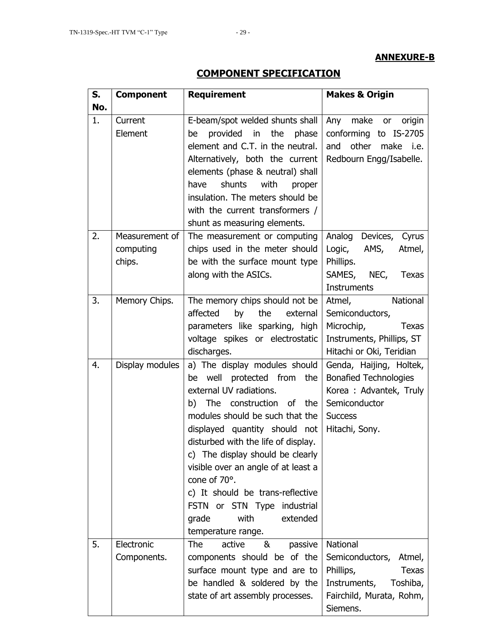## **ANNEXURE-B**

# **COMPONENT SPECIFICATION**

| S.  | <b>Requirement</b><br><b>Component</b> |                                                                                                                                                                                                                                                                                                                                                                                                                                                             | <b>Makes &amp; Origin</b>                                                                                                                  |  |  |
|-----|----------------------------------------|-------------------------------------------------------------------------------------------------------------------------------------------------------------------------------------------------------------------------------------------------------------------------------------------------------------------------------------------------------------------------------------------------------------------------------------------------------------|--------------------------------------------------------------------------------------------------------------------------------------------|--|--|
| No. |                                        |                                                                                                                                                                                                                                                                                                                                                                                                                                                             |                                                                                                                                            |  |  |
| 1.  | Current<br>Element                     | E-beam/spot welded shunts shall<br>provided in the phase<br>be<br>element and C.T. in the neutral.<br>Alternatively, both the current<br>elements (phase & neutral) shall<br>shunts<br>with<br>have<br>proper<br>insulation. The meters should be<br>with the current transformers /<br>shunt as measuring elements.                                                                                                                                        | Any<br>origin<br>make or<br>conforming to IS-2705<br>other<br>make<br>and<br>i.e.<br>Redbourn Engg/Isabelle.                               |  |  |
| 2.  | Measurement of<br>computing<br>chips.  | The measurement or computing<br>chips used in the meter should<br>be with the surface mount type<br>along with the ASICs.                                                                                                                                                                                                                                                                                                                                   | Analog<br>Devices, Cyrus<br>AMS,<br>Logic,<br>Atmel,<br>Phillips.<br>SAMES, NEC,<br><b>Texas</b><br><b>Instruments</b>                     |  |  |
| 3.  | Memory Chips.                          | The memory chips should not be<br>by<br>affected<br>the<br>external<br>parameters like sparking, high<br>voltage spikes or electrostatic<br>discharges.                                                                                                                                                                                                                                                                                                     | Atmel,<br>National<br>Semiconductors,<br>Microchip,<br><b>Texas</b><br>Instruments, Phillips, ST<br>Hitachi or Oki, Teridian               |  |  |
| 4.  | Display modules                        | a) The display modules should<br>well protected from the<br>be<br>external UV radiations.<br>b) The construction of the<br>modules should be such that the<br>displayed quantity should not<br>disturbed with the life of display.<br>c) The display should be clearly<br>visible over an angle of at least a<br>cone of $70^\circ$ .<br>c) It should be trans-reflective<br>FSTN or STN Type industrial<br>extended<br>with<br>grade<br>temperature range. | Genda, Haijing, Holtek,<br><b>Bonafied Technologies</b><br>Korea : Advantek, Truly<br>Semiconductor<br><b>Success</b><br>Hitachi, Sony.    |  |  |
| 5.  | Electronic<br>Components.              | <b>The</b><br>active<br>&<br>passive<br>components should be of the<br>surface mount type and are to<br>be handled & soldered by the<br>state of art assembly processes.                                                                                                                                                                                                                                                                                    | <b>National</b><br>Semiconductors, Atmel,<br>Phillips,<br><b>Texas</b><br>Instruments,<br>Toshiba,<br>Fairchild, Murata, Rohm,<br>Siemens. |  |  |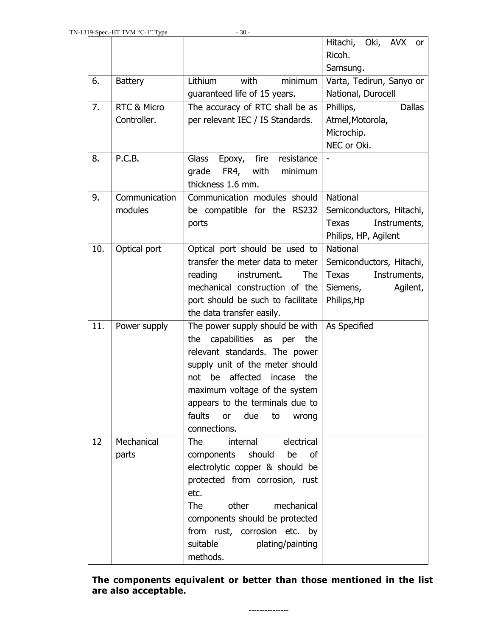|     |                        |                                       | Hitachi, Oki, AVX or         |
|-----|------------------------|---------------------------------------|------------------------------|
|     |                        |                                       | Ricoh.                       |
|     |                        |                                       | Samsung.                     |
| 6.  | <b>Battery</b>         | Lithium<br>with<br>minimum            | Varta, Tedirun, Sanyo or     |
|     |                        | guaranteed life of 15 years.          | National, Durocell           |
| 7.  | <b>RTC &amp; Micro</b> | The accuracy of RTC shall be as       | Phillips,<br><b>Dallas</b>   |
|     | Controller.            | per relevant IEC / IS Standards.      | Atmel, Motorola,             |
|     |                        |                                       | Microchip.                   |
|     |                        |                                       | NEC or Oki.                  |
| 8.  | P.C.B.                 | Glass<br>fire<br>resistance<br>Epoxy, |                              |
|     |                        | grade<br>FR4, with<br>minimum         |                              |
|     |                        | thickness 1.6 mm.                     |                              |
| 9.  | Communication          | Communication modules should          | <b>National</b>              |
|     | modules                | be compatible for the RS232           | Semiconductors, Hitachi,     |
|     |                        | ports                                 | <b>Texas</b><br>Instruments, |
|     |                        |                                       | Philips, HP, Agilent         |
| 10. | Optical port           | Optical port should be used to        | <b>National</b>              |
|     |                        | transfer the meter data to meter      | Semiconductors, Hitachi,     |
|     |                        | reading<br>instrument.<br><b>The</b>  | <b>Texas</b><br>Instruments, |
|     |                        | mechanical construction of the        | Siemens,<br>Agilent,         |
|     |                        | port should be such to facilitate     | Philips, Hp                  |
|     |                        | the data transfer easily.             |                              |
| 11. | Power supply           | The power supply should be with       | As Specified                 |
|     |                        | capabilities as per the<br>the        |                              |
|     |                        | relevant standards. The power         |                              |
|     |                        | supply unit of the meter should       |                              |
|     |                        | not be affected incase the            |                              |
|     |                        | maximum voltage of the system         |                              |
|     |                        | appears to the terminals due to       |                              |
|     |                        | faults<br>or due<br>to<br>wrong       |                              |
|     |                        | connections.                          |                              |
| 12  | Mechanical             | internal<br>electrical<br><b>The</b>  |                              |
|     | parts                  | should<br>be<br>components<br>οf      |                              |
|     |                        | electrolytic copper & should be       |                              |
|     |                        | protected from corrosion, rust        |                              |
|     |                        | etc.                                  |                              |
|     |                        | <b>The</b><br>other<br>mechanical     |                              |
|     |                        | components should be protected        |                              |
|     |                        | from rust, corrosion etc. by          |                              |
|     |                        | suitable<br>plating/painting          |                              |
|     |                        | methods.                              |                              |

**The components equivalent or better than those mentioned in the list are also acceptable.** 

**---------------**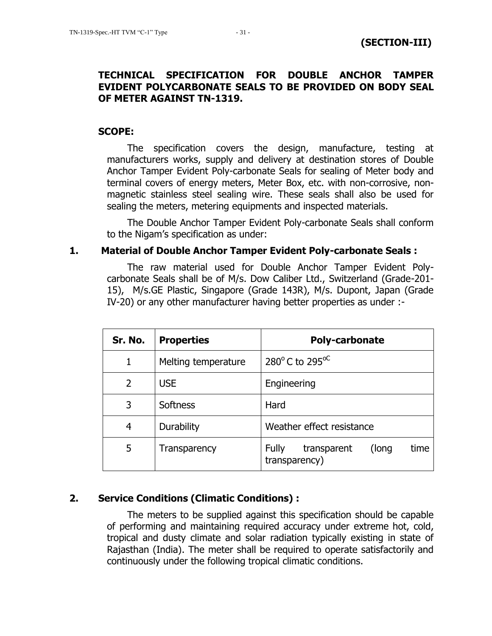## **TECHNICAL SPECIFICATION FOR DOUBLE ANCHOR TAMPER EVIDENT POLYCARBONATE SEALS TO BE PROVIDED ON BODY SEAL OF METER AGAINST TN-1319.**

## **SCOPE:**

The specification covers the design, manufacture, testing at manufacturers works, supply and delivery at destination stores of Double Anchor Tamper Evident Poly-carbonate Seals for sealing of Meter body and terminal covers of energy meters, Meter Box, etc. with non-corrosive, nonmagnetic stainless steel sealing wire. These seals shall also be used for sealing the meters, metering equipments and inspected materials.

The Double Anchor Tamper Evident Poly-carbonate Seals shall conform to the Nigam"s specification as under:

## **1. Material of Double Anchor Tamper Evident Poly-carbonate Seals :**

The raw material used for Double Anchor Tamper Evident Polycarbonate Seals shall be of M/s. Dow Caliber Ltd., Switzerland (Grade-201- 15), M/s.GE Plastic, Singapore (Grade 143R), M/s. Dupont, Japan (Grade IV-20) or any other manufacturer having better properties as under :-

| Sr. No. | <b>Properties</b>   | <b>Poly-carbonate</b>                                         |  |
|---------|---------------------|---------------------------------------------------------------|--|
|         | Melting temperature | 280 $^{\circ}$ C to 295 $^{\circ}$ C                          |  |
| 2       | <b>USE</b>          | Engineering                                                   |  |
| 3       | <b>Softness</b>     | Hard                                                          |  |
| 4       | Durability          | Weather effect resistance                                     |  |
| 5       | Transparency        | <b>Fully</b><br>time<br>(long<br>transparent<br>transparency) |  |

## **2. Service Conditions (Climatic Conditions) :**

The meters to be supplied against this specification should be capable of performing and maintaining required accuracy under extreme hot, cold, tropical and dusty climate and solar radiation typically existing in state of Rajasthan (India). The meter shall be required to operate satisfactorily and continuously under the following tropical climatic conditions.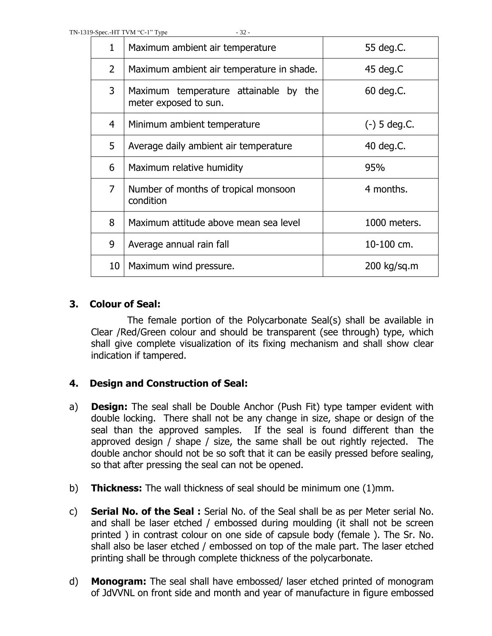| $\mathbf{1}$   | Maximum ambient air temperature                                   | 55 deg.C.      |
|----------------|-------------------------------------------------------------------|----------------|
| $\overline{2}$ | Maximum ambient air temperature in shade.                         | 45 deg.C       |
| 3              | Maximum temperature attainable by<br>the<br>meter exposed to sun. | 60 deg.C.      |
| 4              | Minimum ambient temperature                                       | $(-)$ 5 deg.C. |
| 5              | Average daily ambient air temperature                             | 40 deg.C.      |
| 6              | Maximum relative humidity                                         | 95%            |
| $\overline{7}$ | Number of months of tropical monsoon<br>condition                 | 4 months.      |
| 8              | Maximum attitude above mean sea level                             | 1000 meters.   |
| 9              | Average annual rain fall                                          | 10-100 cm.     |
| 10             | Maximum wind pressure.                                            | $200$ kg/sq.m  |

## **3. Colour of Seal:**

The female portion of the Polycarbonate Seal(s) shall be available in Clear /Red/Green colour and should be transparent (see through) type, which shall give complete visualization of its fixing mechanism and shall show clear indication if tampered.

## **4. Design and Construction of Seal:**

- a) **Design:** The seal shall be Double Anchor (Push Fit) type tamper evident with double locking. There shall not be any change in size, shape or design of the seal than the approved samples. If the seal is found different than the approved design / shape / size, the same shall be out rightly rejected. The double anchor should not be so soft that it can be easily pressed before sealing, so that after pressing the seal can not be opened.
- b) **Thickness:** The wall thickness of seal should be minimum one (1)mm.
- c) **Serial No. of the Seal :** Serial No. of the Seal shall be as per Meter serial No. and shall be laser etched / embossed during moulding (it shall not be screen printed ) in contrast colour on one side of capsule body (female ). The Sr. No. shall also be laser etched / embossed on top of the male part. The laser etched printing shall be through complete thickness of the polycarbonate.
- d) **Monogram:** The seal shall have embossed/ laser etched printed of monogram of JdVVNL on front side and month and year of manufacture in figure embossed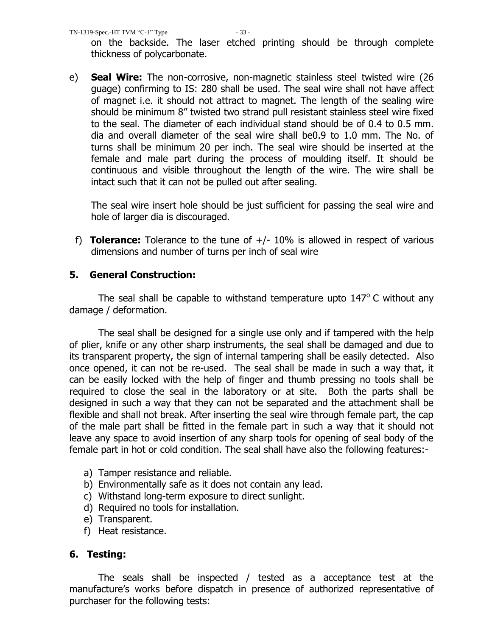on the backside. The laser etched printing should be through complete thickness of polycarbonate.

e) **Seal Wire:** The non-corrosive, non-magnetic stainless steel twisted wire (26 guage) confirming to IS: 280 shall be used. The seal wire shall not have affect of magnet i.e. it should not attract to magnet. The length of the sealing wire should be minimum 8" twisted two strand pull resistant stainless steel wire fixed to the seal. The diameter of each individual stand should be of 0.4 to 0.5 mm. dia and overall diameter of the seal wire shall be0.9 to 1.0 mm. The No. of turns shall be minimum 20 per inch. The seal wire should be inserted at the female and male part during the process of moulding itself. It should be continuous and visible throughout the length of the wire. The wire shall be intact such that it can not be pulled out after sealing.

The seal wire insert hole should be just sufficient for passing the seal wire and hole of larger dia is discouraged.

f) **Tolerance:** Tolerance to the tune of +/- 10% is allowed in respect of various dimensions and number of turns per inch of seal wire

## **5. General Construction:**

The seal shall be capable to withstand temperature upto  $147^{\circ}$  C without any damage / deformation.

The seal shall be designed for a single use only and if tampered with the help of plier, knife or any other sharp instruments, the seal shall be damaged and due to its transparent property, the sign of internal tampering shall be easily detected. Also once opened, it can not be re-used. The seal shall be made in such a way that, it can be easily locked with the help of finger and thumb pressing no tools shall be required to close the seal in the laboratory or at site. Both the parts shall be designed in such a way that they can not be separated and the attachment shall be flexible and shall not break. After inserting the seal wire through female part, the cap of the male part shall be fitted in the female part in such a way that it should not leave any space to avoid insertion of any sharp tools for opening of seal body of the female part in hot or cold condition. The seal shall have also the following features:-

- a) Tamper resistance and reliable.
- b) Environmentally safe as it does not contain any lead.
- c) Withstand long-term exposure to direct sunlight.
- d) Required no tools for installation.
- e) Transparent.
- f) Heat resistance.

## **6. Testing:**

The seals shall be inspected / tested as a acceptance test at the manufacture"s works before dispatch in presence of authorized representative of purchaser for the following tests: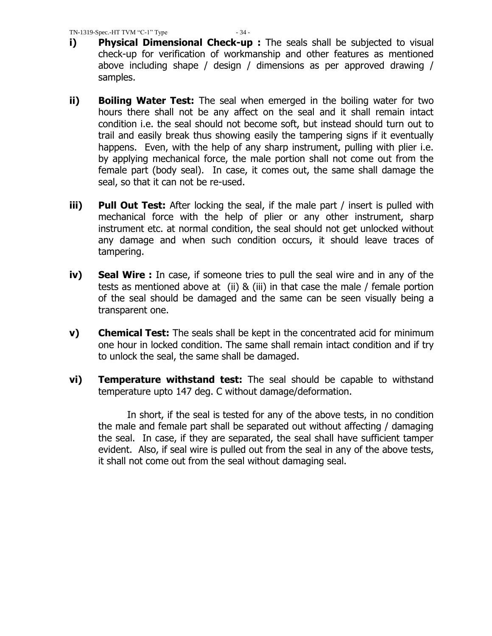- **i)** Physical Dimensional Check-up : The seals shall be subjected to visual check-up for verification of workmanship and other features as mentioned above including shape / design / dimensions as per approved drawing / samples.
- **ii) Boiling Water Test:** The seal when emerged in the boiling water for two hours there shall not be any affect on the seal and it shall remain intact condition i.e. the seal should not become soft, but instead should turn out to trail and easily break thus showing easily the tampering signs if it eventually happens. Even, with the help of any sharp instrument, pulling with plier i.e. by applying mechanical force, the male portion shall not come out from the female part (body seal). In case, it comes out, the same shall damage the seal, so that it can not be re-used.
- **iii) Pull Out Test:** After locking the seal, if the male part / insert is pulled with mechanical force with the help of plier or any other instrument, sharp instrument etc. at normal condition, the seal should not get unlocked without any damage and when such condition occurs, it should leave traces of tampering.
- **iv) Seal Wire :** In case, if someone tries to pull the seal wire and in any of the tests as mentioned above at (ii) & (iii) in that case the male / female portion of the seal should be damaged and the same can be seen visually being a transparent one.
- **v) Chemical Test:** The seals shall be kept in the concentrated acid for minimum one hour in locked condition. The same shall remain intact condition and if try to unlock the seal, the same shall be damaged.
- **vi) Temperature withstand test:** The seal should be capable to withstand temperature upto 147 deg. C without damage/deformation.

In short, if the seal is tested for any of the above tests, in no condition the male and female part shall be separated out without affecting / damaging the seal. In case, if they are separated, the seal shall have sufficient tamper evident. Also, if seal wire is pulled out from the seal in any of the above tests, it shall not come out from the seal without damaging seal.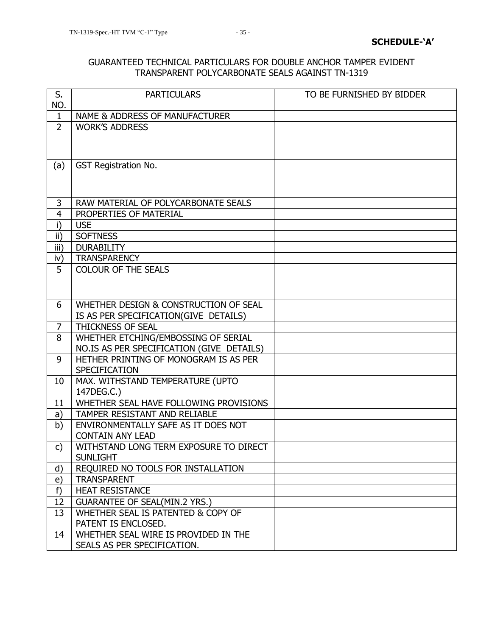#### GUARANTEED TECHNICAL PARTICULARS FOR DOUBLE ANCHOR TAMPER EVIDENT TRANSPARENT POLYCARBONATE SEALS AGAINST TN-1319

| S.<br>NO.      | <b>PARTICULARS</b>                                       | TO BE FURNISHED BY BIDDER |
|----------------|----------------------------------------------------------|---------------------------|
| $\mathbf{1}$   | NAME & ADDRESS OF MANUFACTURER                           |                           |
| $\overline{2}$ | <b>WORK'S ADDRESS</b>                                    |                           |
|                |                                                          |                           |
|                |                                                          |                           |
| (a)            | <b>GST Registration No.</b>                              |                           |
|                |                                                          |                           |
|                |                                                          |                           |
| 3              | RAW MATERIAL OF POLYCARBONATE SEALS                      |                           |
| $\overline{4}$ | PROPERTIES OF MATERIAL                                   |                           |
| i)             | <b>USE</b>                                               |                           |
| ii)            | <b>SOFTNESS</b>                                          |                           |
| iii)           | <b>DURABILITY</b>                                        |                           |
| iv)            | <b>TRANSPARENCY</b>                                      |                           |
| 5              | <b>COLOUR OF THE SEALS</b>                               |                           |
|                |                                                          |                           |
|                |                                                          |                           |
| 6              | WHETHER DESIGN & CONSTRUCTION OF SEAL                    |                           |
|                | IS AS PER SPECIFICATION(GIVE DETAILS)                    |                           |
| $\overline{7}$ | THICKNESS OF SEAL                                        |                           |
| 8              | WHETHER ETCHING/EMBOSSING OF SERIAL                      |                           |
|                | NO.IS AS PER SPECIFICATION (GIVE DETAILS)                |                           |
| 9              | HETHER PRINTING OF MONOGRAM IS AS PER                    |                           |
|                | <b>SPECIFICATION</b>                                     |                           |
| 10             | MAX. WITHSTAND TEMPERATURE (UPTO                         |                           |
|                | 147DEG.C.)                                               |                           |
| 11             | WHETHER SEAL HAVE FOLLOWING PROVISIONS                   |                           |
| a)             | TAMPER RESISTANT AND RELIABLE                            |                           |
| b)             | ENVIRONMENTALLY SAFE AS IT DOES NOT                      |                           |
|                | <b>CONTAIN ANY LEAD</b>                                  |                           |
| c)             | WITHSTAND LONG TERM EXPOSURE TO DIRECT                   |                           |
|                | <b>SUNLIGHT</b>                                          |                           |
| d)<br>e)       | REQUIRED NO TOOLS FOR INSTALLATION<br><b>TRANSPARENT</b> |                           |
| f)             | <b>HEAT RESISTANCE</b>                                   |                           |
| 12             | <b>GUARANTEE OF SEAL(MIN.2 YRS.)</b>                     |                           |
| 13             | WHETHER SEAL IS PATENTED & COPY OF                       |                           |
|                | PATENT IS ENCLOSED.                                      |                           |
| 14             | WHETHER SEAL WIRE IS PROVIDED IN THE                     |                           |
|                | SEALS AS PER SPECIFICATION.                              |                           |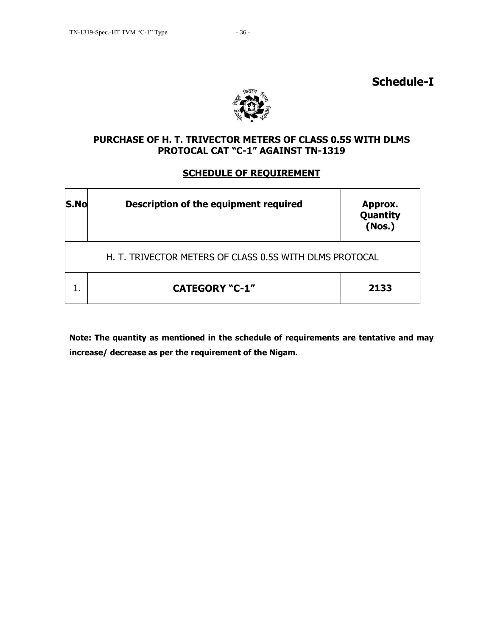



## **PURCHASE OF H. T. TRIVECTOR METERS OF CLASS 0.5S WITH DLMS PROTOCAL CAT "C-1" AGAINST TN-1319**

## **SCHEDULE OF REQUIREMENT**

| S.No | Description of the equipment required                   | Approx.<br>Quantity<br>(Nos.) |
|------|---------------------------------------------------------|-------------------------------|
|      | H. T. TRIVECTOR METERS OF CLASS 0.5S WITH DLMS PROTOCAL |                               |
|      | <b>CATEGORY "C-1"</b>                                   | 2133                          |

**Note: The quantity as mentioned in the schedule of requirements are tentative and may increase/ decrease as per the requirement of the Nigam.**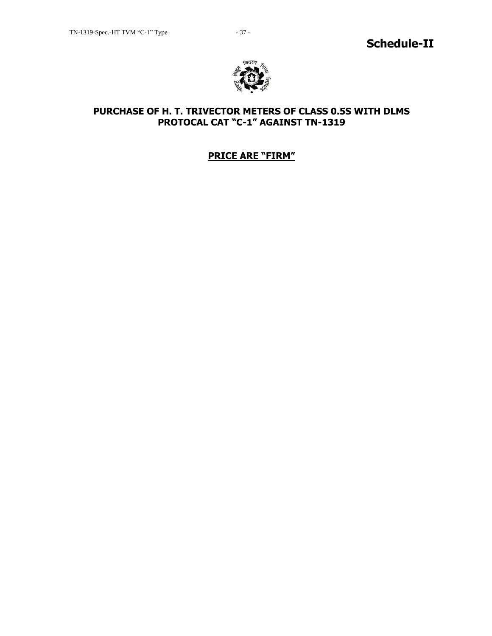

## **PURCHASE OF H. T. TRIVECTOR METERS OF CLASS 0.5S WITH DLMS PROTOCAL CAT "C-1" AGAINST TN-1319**

## **PRICE ARE "FIRM"**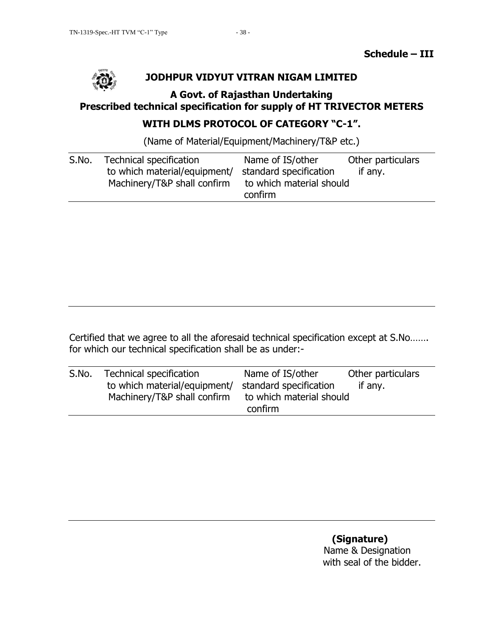

## **JODHPUR VIDYUT VITRAN NIGAM LIMITED**

## **A Govt. of Rajasthan Undertaking Prescribed technical specification for supply of HT TRIVECTOR METERS**

# **WITH DLMS PROTOCOL OF CATEGORY "C-1".**

(Name of Material/Equipment/Machinery/T&P etc.)

| S.No. | Technical specification<br>to which material/equipment/<br>Machinery/T&P shall confirm | Name of IS/other<br>standard specification<br>to which material should<br>confirm | Other particulars<br>if any. |
|-------|----------------------------------------------------------------------------------------|-----------------------------------------------------------------------------------|------------------------------|
|       |                                                                                        |                                                                                   |                              |

Certified that we agree to all the aforesaid technical specification except at S.No……. for which our technical specification shall be as under:-

| S.No. | <b>Technical specification</b> | Name of IS/other                    | Other particulars |
|-------|--------------------------------|-------------------------------------|-------------------|
|       | to which material/equipment/   | standard specification              | if any.           |
|       | Machinery/T&P shall confirm    | to which material should<br>confirm |                   |

## **(Signature)** Name & Designation with seal of the bidder.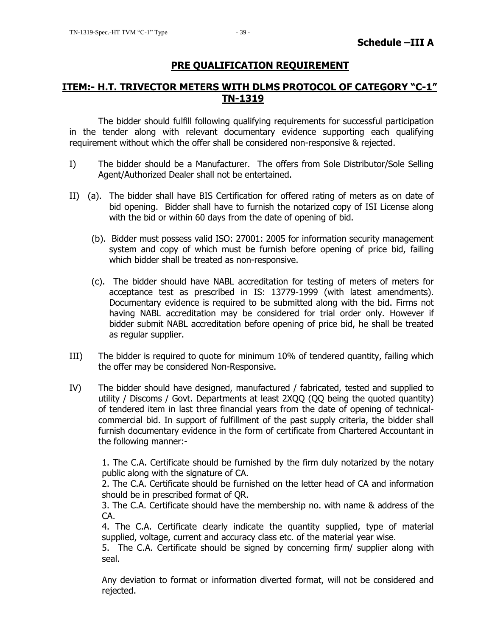## **PRE QUALIFICATION REQUIREMENT**

## **ITEM:- H.T. TRIVECTOR METERS WITH DLMS PROTOCOL OF CATEGORY "C-1" TN-1319**

The bidder should fulfill following qualifying requirements for successful participation in the tender along with relevant documentary evidence supporting each qualifying requirement without which the offer shall be considered non-responsive & rejected.

- I) The bidder should be a Manufacturer. The offers from Sole Distributor/Sole Selling Agent/Authorized Dealer shall not be entertained.
- II) (a). The bidder shall have BIS Certification for offered rating of meters as on date of bid opening. Bidder shall have to furnish the notarized copy of ISI License along with the bid or within 60 days from the date of opening of bid.
	- (b). Bidder must possess valid ISO: 27001: 2005 for information security management system and copy of which must be furnish before opening of price bid, failing which bidder shall be treated as non-responsive.
	- (c). The bidder should have NABL accreditation for testing of meters of meters for acceptance test as prescribed in IS: 13779-1999 (with latest amendments). Documentary evidence is required to be submitted along with the bid. Firms not having NABL accreditation may be considered for trial order only. However if bidder submit NABL accreditation before opening of price bid, he shall be treated as regular supplier.
- III) The bidder is required to quote for minimum 10% of tendered quantity, failing which the offer may be considered Non-Responsive.
- IV) The bidder should have designed, manufactured / fabricated, tested and supplied to utility / Discoms / Govt. Departments at least 2XQQ (QQ being the quoted quantity) of tendered item in last three financial years from the date of opening of technicalcommercial bid. In support of fulfillment of the past supply criteria, the bidder shall furnish documentary evidence in the form of certificate from Chartered Accountant in the following manner:-

1. The C.A. Certificate should be furnished by the firm duly notarized by the notary public along with the signature of CA.

2. The C.A. Certificate should be furnished on the letter head of CA and information should be in prescribed format of QR.

3. The C.A. Certificate should have the membership no. with name & address of the CA.

4. The C.A. Certificate clearly indicate the quantity supplied, type of material supplied, voltage, current and accuracy class etc. of the material year wise.

5. The C.A. Certificate should be signed by concerning firm/ supplier along with seal.

Any deviation to format or information diverted format, will not be considered and rejected.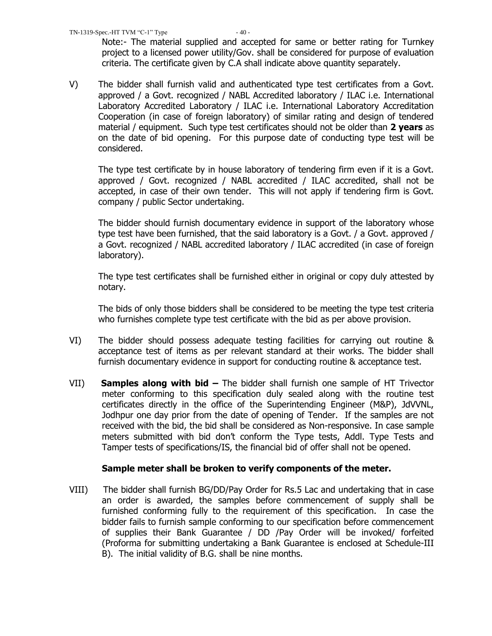Note:- The material supplied and accepted for same or better rating for Turnkey project to a licensed power utility/Gov. shall be considered for purpose of evaluation criteria. The certificate given by C.A shall indicate above quantity separately.

V) The bidder shall furnish valid and authenticated type test certificates from a Govt. approved / a Govt. recognized / NABL Accredited laboratory / ILAC i.e. International Laboratory Accredited Laboratory / ILAC i.e. International Laboratory Accreditation Cooperation (in case of foreign laboratory) of similar rating and design of tendered material / equipment. Such type test certificates should not be older than **2 years** as on the date of bid opening. For this purpose date of conducting type test will be considered.

The type test certificate by in house laboratory of tendering firm even if it is a Govt. approved / Govt. recognized / NABL accredited / ILAC accredited, shall not be accepted, in case of their own tender. This will not apply if tendering firm is Govt. company / public Sector undertaking.

The bidder should furnish documentary evidence in support of the laboratory whose type test have been furnished, that the said laboratory is a Govt. / a Govt. approved / a Govt. recognized / NABL accredited laboratory / ILAC accredited (in case of foreign laboratory).

The type test certificates shall be furnished either in original or copy duly attested by notary.

The bids of only those bidders shall be considered to be meeting the type test criteria who furnishes complete type test certificate with the bid as per above provision.

- VI) The bidder should possess adequate testing facilities for carrying out routine & acceptance test of items as per relevant standard at their works. The bidder shall furnish documentary evidence in support for conducting routine & acceptance test.
- VII) **Samples along with bid –** The bidder shall furnish one sample of HT Trivector meter conforming to this specification duly sealed along with the routine test certificates directly in the office of the Superintending Engineer (M&P), JdVVNL, Jodhpur one day prior from the date of opening of Tender. If the samples are not received with the bid, the bid shall be considered as Non-responsive. In case sample meters submitted with bid don"t conform the Type tests, Addl. Type Tests and Tamper tests of specifications/IS, the financial bid of offer shall not be opened.

## **Sample meter shall be broken to verify components of the meter.**

VIII) The bidder shall furnish BG/DD/Pay Order for Rs.5 Lac and undertaking that in case an order is awarded, the samples before commencement of supply shall be furnished conforming fully to the requirement of this specification. In case the bidder fails to furnish sample conforming to our specification before commencement of supplies their Bank Guarantee / DD /Pay Order will be invoked/ forfeited (Proforma for submitting undertaking a Bank Guarantee is enclosed at Schedule-III B). The initial validity of B.G. shall be nine months.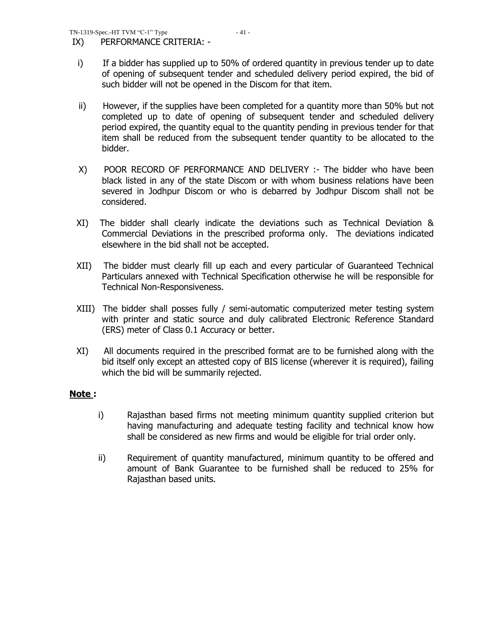IX) PERFORMANCE CRITERIA: -

- ii) However, if the supplies have been completed for a quantity more than 50% but not completed up to date of opening of subsequent tender and scheduled delivery period expired, the quantity equal to the quantity pending in previous tender for that item shall be reduced from the subsequent tender quantity to be allocated to the bidder.
- X) POOR RECORD OF PERFORMANCE AND DELIVERY :- The bidder who have been black listed in any of the state Discom or with whom business relations have been severed in Jodhpur Discom or who is debarred by Jodhpur Discom shall not be considered.
- XI)The bidder shall clearly indicate the deviations such as Technical Deviation & Commercial Deviations in the prescribed proforma only. The deviations indicated elsewhere in the bid shall not be accepted.
- XII) The bidder must clearly fill up each and every particular of Guaranteed Technical Particulars annexed with Technical Specification otherwise he will be responsible for Technical Non-Responsiveness.
- XIII) The bidder shall posses fully / semi-automatic computerized meter testing system with printer and static source and duly calibrated Electronic Reference Standard (ERS) meter of Class 0.1 Accuracy or better.
- XI) All documents required in the prescribed format are to be furnished along with the bid itself only except an attested copy of BIS license (wherever it is required), failing which the bid will be summarily rejected.

## **Note :**

- i) Rajasthan based firms not meeting minimum quantity supplied criterion but having manufacturing and adequate testing facility and technical know how shall be considered as new firms and would be eligible for trial order only.
- ii) Requirement of quantity manufactured, minimum quantity to be offered and amount of Bank Guarantee to be furnished shall be reduced to 25% for Rajasthan based units.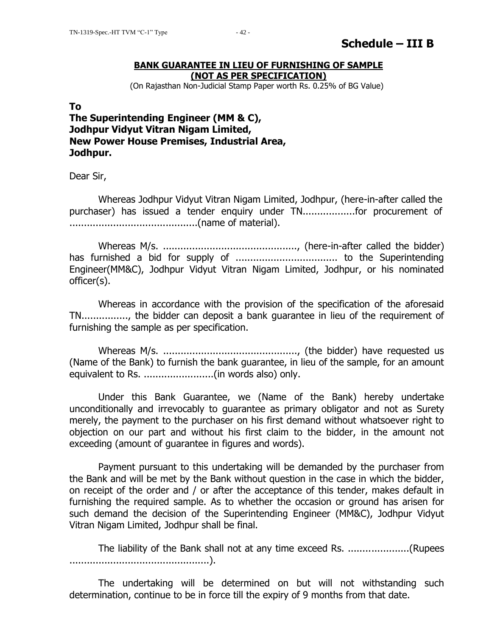#### **BANK GUARANTEE IN LIEU OF FURNISHING OF SAMPLE (NOT AS PER SPECIFICATION)**

(On Rajasthan Non-Judicial Stamp Paper worth Rs. 0.25% of BG Value)

#### **To**

## **The Superintending Engineer (MM & C), Jodhpur Vidyut Vitran Nigam Limited, New Power House Premises, Industrial Area, Jodhpur.**

Dear Sir,

Whereas Jodhpur Vidyut Vitran Nigam Limited, Jodhpur, (here-in-after called the purchaser) has issued a tender enquiry under TN..................for procurement of ............................................(name of material).

Whereas M/s. .............................................., (here-in-after called the bidder) has furnished a bid for supply of ................................... to the Superintending Engineer(MM&C), Jodhpur Vidyut Vitran Nigam Limited, Jodhpur, or his nominated officer(s).

Whereas in accordance with the provision of the specification of the aforesaid TN................, the bidder can deposit a bank guarantee in lieu of the requirement of furnishing the sample as per specification.

Whereas M/s. .............................................., (the bidder) have requested us (Name of the Bank) to furnish the bank guarantee, in lieu of the sample, for an amount equivalent to Rs. ........................(in words also) only.

Under this Bank Guarantee, we (Name of the Bank) hereby undertake unconditionally and irrevocably to guarantee as primary obligator and not as Surety merely, the payment to the purchaser on his first demand without whatsoever right to objection on our part and without his first claim to the bidder, in the amount not exceeding (amount of guarantee in figures and words).

Payment pursuant to this undertaking will be demanded by the purchaser from the Bank and will be met by the Bank without question in the case in which the bidder, on receipt of the order and / or after the acceptance of this tender, makes default in furnishing the required sample. As to whether the occasion or ground has arisen for such demand the decision of the Superintending Engineer (MM&C), Jodhpur Vidyut Vitran Nigam Limited, Jodhpur shall be final.

The liability of the Bank shall not at any time exceed Rs. .....................(Rupees ................................................).

The undertaking will be determined on but will not withstanding such determination, continue to be in force till the expiry of 9 months from that date.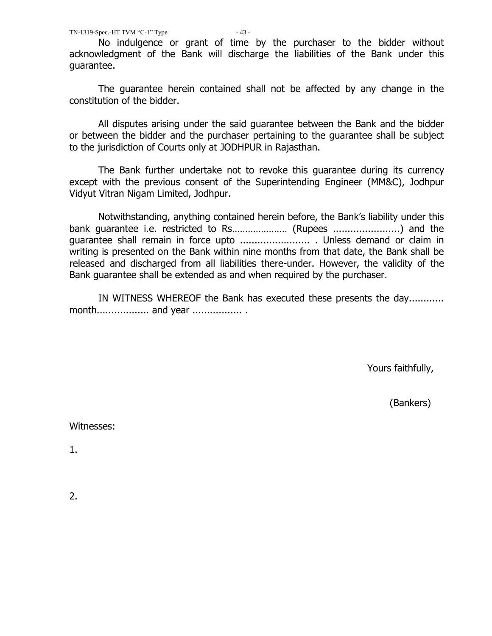No indulgence or grant of time by the purchaser to the bidder without acknowledgment of the Bank will discharge the liabilities of the Bank under this guarantee.

The guarantee herein contained shall not be affected by any change in the constitution of the bidder.

All disputes arising under the said guarantee between the Bank and the bidder or between the bidder and the purchaser pertaining to the guarantee shall be subject to the jurisdiction of Courts only at JODHPUR in Rajasthan.

The Bank further undertake not to revoke this guarantee during its currency except with the previous consent of the Superintending Engineer (MM&C), Jodhpur Vidyut Vitran Nigam Limited, Jodhpur.

Notwithstanding, anything contained herein before, the Bank"s liability under this bank guarantee i.e. restricted to Rs………………… (Rupees .......................) and the guarantee shall remain in force upto ........................ . Unless demand or claim in writing is presented on the Bank within nine months from that date, the Bank shall be released and discharged from all liabilities there-under. However, the validity of the Bank guarantee shall be extended as and when required by the purchaser.

IN WITNESS WHEREOF the Bank has executed these presents the day............ month.................. and year ................. .

Yours faithfully,

(Bankers)

Witnesses:

1.

2.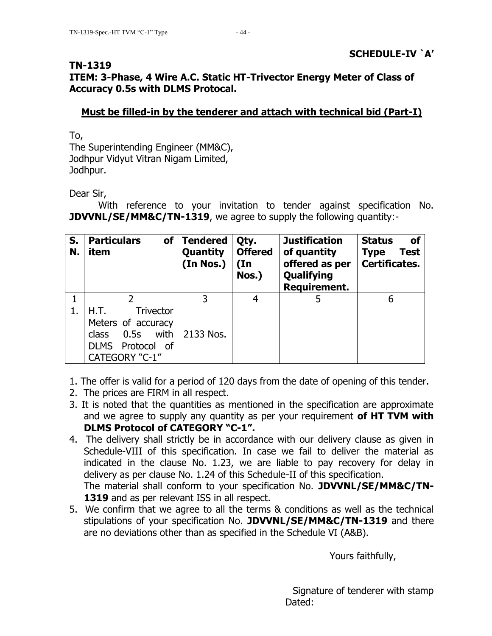## **TN-1319**

# **ITEM: 3-Phase, 4 Wire A.C. Static HT-Trivector Energy Meter of Class of Accuracy 0.5s with DLMS Protocal.**

## **Must be filled-in by the tenderer and attach with technical bid (Part-I)**

To,

The Superintending Engineer (MM&C), Jodhpur Vidyut Vitran Nigam Limited, Jodhpur.

Dear Sir,

With reference to your invitation to tender against specification No. **JDVVNL/SE/MM&C/TN-1319**, we agree to supply the following quantity:-

| S.<br>N. | <b>Particulars</b><br><b>of</b><br>item                                                                                 | <b>Tendered</b><br>Quantity<br>(In Nos.) | Qty.<br><b>Offered</b><br>$(\text{In})$<br>Nos.) | <b>Justification</b><br>of quantity<br>offered as per<br>Qualifying<br><b>Requirement.</b> | <b>Status</b><br>0f<br>Test<br><b>Type</b><br>Certificates. |
|----------|-------------------------------------------------------------------------------------------------------------------------|------------------------------------------|--------------------------------------------------|--------------------------------------------------------------------------------------------|-------------------------------------------------------------|
|          |                                                                                                                         |                                          | 4                                                |                                                                                            | 6                                                           |
| 1.       | H.T.<br><b>Trivector</b><br>Meters of accuracy<br>with<br>0.5s<br>class<br><b>DLMS</b><br>Protocol of<br>CATEGORY "C-1" | 2133 Nos.                                |                                                  |                                                                                            |                                                             |

1. The offer is valid for a period of 120 days from the date of opening of this tender.

- 2. The prices are FIRM in all respect.
- 3. It is noted that the quantities as mentioned in the specification are approximate and we agree to supply any quantity as per your requirement **of HT TVM with DLMS Protocol of CATEGORY "C-1".**
- 4. The delivery shall strictly be in accordance with our delivery clause as given in Schedule-VIII of this specification. In case we fail to deliver the material as indicated in the clause No. 1.23, we are liable to pay recovery for delay in delivery as per clause No. 1.24 of this Schedule-II of this specification. The material shall conform to your specification No. **JDVVNL/SE/MM&C/TN-**1319 and as per relevant ISS in all respect.
- 5. We confirm that we agree to all the terms & conditions as well as the technical stipulations of your specification No. **JDVVNL/SE/MM&C/TN-1319** and there are no deviations other than as specified in the Schedule VI (A&B).

Yours faithfully,

 Signature of tenderer with stamp Dated: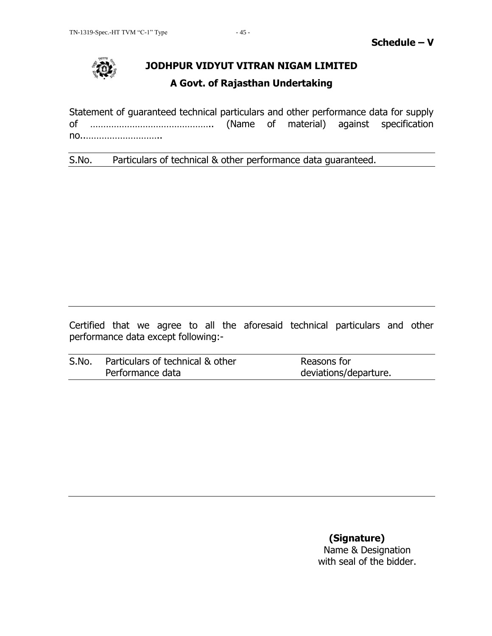

# **JODHPUR VIDYUT VITRAN NIGAM LIMITED**

## **A Govt. of Rajasthan Undertaking**

Statement of guaranteed technical particulars and other performance data for supply of ……………………………………….. (Name of material) against specification no..………………………..

S.No. Particulars of technical & other performance data guaranteed.

Certified that we agree to all the aforesaid technical particulars and other performance data except following:-

| S.No. | Particulars of technical & other | Reasons for           |
|-------|----------------------------------|-----------------------|
|       | Performance data                 | deviations/departure. |

# **(Signature)**

Name & Designation with seal of the bidder.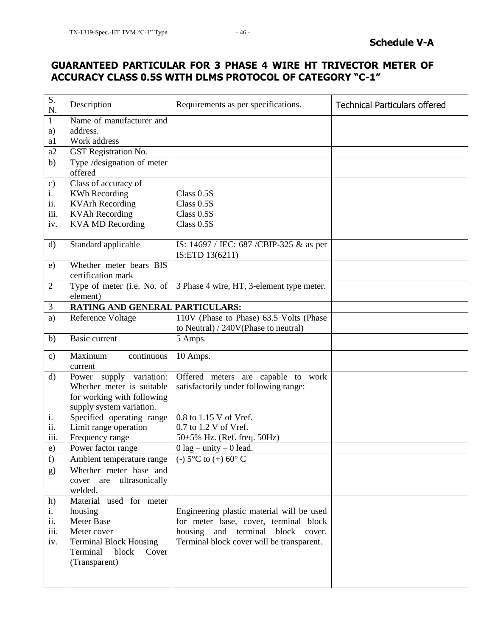## **GUARANTEED PARTICULAR FOR 3 PHASE 4 WIRE HT TRIVECTOR METER OF ACCURACY CLASS 0.5S WITH DLMS PROTOCOL OF CATEGORY "C-1"**

| S.<br>N.      | Description                                   | Requirements as per specifications.                         | <b>Technical Particulars offered</b> |
|---------------|-----------------------------------------------|-------------------------------------------------------------|--------------------------------------|
| 1             | Name of manufacturer and                      |                                                             |                                      |
| a)            | address.                                      |                                                             |                                      |
| a1            | Work address                                  |                                                             |                                      |
| a2            | GST Registration No.                          |                                                             |                                      |
| b)            | Type /designation of meter<br>offered         |                                                             |                                      |
| $\mathbf{c})$ | Class of accuracy of                          |                                                             |                                      |
| i.            | <b>KWh Recording</b>                          | Class $0.5S$                                                |                                      |
| 11.           | <b>KVArh Recording</b>                        | Class 0.5S                                                  |                                      |
| iii.          | <b>KVAh Recording</b>                         | Class 0.5S                                                  |                                      |
| iv.           | <b>KVA MD Recording</b>                       | Class 0.5S                                                  |                                      |
| $\mathbf{d}$  | Standard applicable                           | IS: 14697 / IEC: 687 / CBIP-325 & as per<br>IS:ETD 13(6211) |                                      |
| e)            | Whether meter bears BIS<br>certification mark |                                                             |                                      |
| 2             | Type of meter (i.e. No. of<br>element)        | 3 Phase 4 wire, HT, 3-element type meter.                   |                                      |
| 3             | RATING AND GENERAL PARTICULARS:               |                                                             |                                      |
| a)            | Reference Voltage                             | 110V (Phase to Phase) 63.5 Volts (Phase                     |                                      |
|               |                                               | to Neutral) / 240V(Phase to neutral)                        |                                      |
| b)            | Basic current                                 | 5 Amps.                                                     |                                      |
| $\mathbf{c})$ | Maximum<br>continuous<br>current              | 10 Amps.                                                    |                                      |
| d)            | supply variation:<br>Power                    | Offered meters are capable to work                          |                                      |
|               | Whether meter is suitable                     | satisfactorily under following range:                       |                                      |
|               | for working with following                    |                                                             |                                      |
|               | supply system variation.                      |                                                             |                                      |
| i.            | Specified operating range                     | $0.8$ to $1.15$ V of Vref.                                  |                                      |
| ii.           | Limit range operation                         | 0.7 to 1.2 V of Vref.                                       |                                      |
| <i>iii.</i>   | Frequency range                               | $50\pm5\%$ Hz. (Ref. freq. 50Hz)                            |                                      |
| e)            | Power factor range                            | $0$ lag – unity – 0 lead.                                   |                                      |
| f)            | Ambient temperature range                     | (-) $5^{\circ}$ C to (+) $60^{\circ}$ C                     |                                      |
| g)            | Whether meter base and                        |                                                             |                                      |
|               | ultrasonically<br>cover are                   |                                                             |                                      |
|               | welded.                                       |                                                             |                                      |
| h)            | Material used for meter                       |                                                             |                                      |
| i.            | housing                                       | Engineering plastic material will be used                   |                                      |
| ii.           | <b>Meter Base</b>                             | for meter base, cover, terminal block                       |                                      |
| iii.          | Meter cover                                   | housing and terminal<br>block cover.                        |                                      |
| iv.           | <b>Terminal Block Housing</b>                 | Terminal block cover will be transparent.                   |                                      |
|               | Terminal<br>block<br>Cover                    |                                                             |                                      |
|               | (Transparent)                                 |                                                             |                                      |
|               |                                               |                                                             |                                      |
|               |                                               |                                                             |                                      |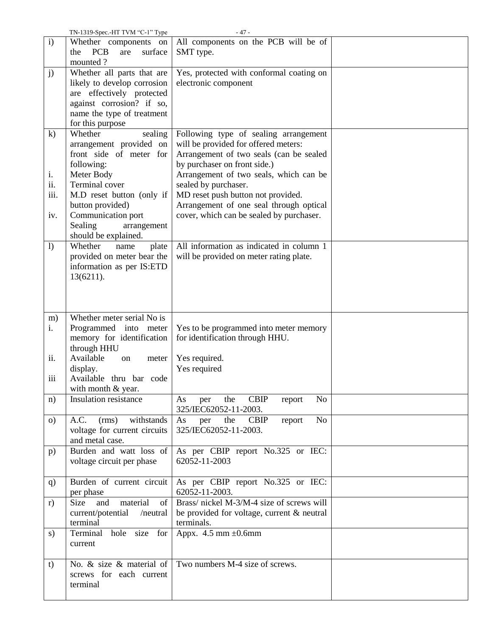|                  | TN-1319-Spec.-HT TVM "C-1" Type     | $-47-$                                          |  |
|------------------|-------------------------------------|-------------------------------------------------|--|
| $\mathbf{i}$     | Whether components on               | All components on the PCB will be of            |  |
|                  | <b>PCB</b><br>the<br>surface<br>are | SMT type.                                       |  |
|                  | mounted?                            |                                                 |  |
| j)               | Whether all parts that are          | Yes, protected with conformal coating on        |  |
|                  | likely to develop corrosion         | electronic component                            |  |
|                  | are effectively protected           |                                                 |  |
|                  | against corrosion? if so,           |                                                 |  |
|                  | name the type of treatment          |                                                 |  |
|                  | for this purpose                    |                                                 |  |
| $\mathbf{k}$     | Whether<br>sealing                  | Following type of sealing arrangement           |  |
|                  | arrangement provided on             | will be provided for offered meters:            |  |
|                  | front side of meter for             | Arrangement of two seals (can be sealed         |  |
|                  | following:                          | by purchaser on front side.)                    |  |
| i.               | Meter Body                          | Arrangement of two seals, which can be          |  |
| ii.              | Terminal cover                      | sealed by purchaser.                            |  |
| iii.             | M.D reset button (only if           | MD reset push button not provided.              |  |
|                  | button provided)                    | Arrangement of one seal through optical         |  |
| iv.              | Communication port                  | cover, which can be sealed by purchaser.        |  |
|                  | Sealing<br>arrangement              |                                                 |  |
|                  | should be explained.                |                                                 |  |
| $\left( \right)$ | Whether<br>plate<br>name            | All information as indicated in column 1        |  |
|                  | provided on meter bear the          | will be provided on meter rating plate.         |  |
|                  | information as per IS:ETD           |                                                 |  |
|                  | 13(6211).                           |                                                 |  |
|                  |                                     |                                                 |  |
|                  |                                     |                                                 |  |
|                  |                                     |                                                 |  |
| m)               | Whether meter serial No is          |                                                 |  |
|                  |                                     |                                                 |  |
| i.               | Programmed into meter               | Yes to be programmed into meter memory          |  |
|                  | memory for identification           | for identification through HHU.                 |  |
|                  | through HHU                         |                                                 |  |
| ii.              | Available<br>on<br>meter            | Yes required.                                   |  |
|                  | display.                            | Yes required                                    |  |
| iii              | Available thru bar code             |                                                 |  |
|                  | with month & year.                  |                                                 |  |
| n)               | Insulation resistance               | <b>CBIP</b><br>No<br>the<br>report<br>As<br>per |  |
|                  |                                     | 325/IEC62052-11-2003.                           |  |
| $\circ$ )        | (rms)<br>withstands<br>A.C.         | No<br>the<br><b>CBIP</b><br>report<br>As<br>per |  |
|                  | voltage for current circuits        | 325/IEC62052-11-2003.                           |  |
|                  | and metal case.                     |                                                 |  |
| p)               | Burden and watt loss of             | As per CBIP report No.325 or IEC:               |  |
|                  | voltage circuit per phase           | 62052-11-2003                                   |  |
|                  |                                     |                                                 |  |
| q)               | Burden of current circuit           | As per CBIP report No.325 or IEC:               |  |
|                  | per phase                           | 62052-11-2003.                                  |  |
| r)               | material<br>Size<br>and<br>of       | Brass/ nickel M-3/M-4 size of screws will       |  |
|                  | current/potential<br>/neutral       | be provided for voltage, current & neutral      |  |
|                  | terminal                            | terminals.                                      |  |
| s)               | Terminal hole size for              | Appx. $4.5$ mm $\pm 0.6$ mm                     |  |
|                  | current                             |                                                 |  |
|                  |                                     |                                                 |  |
| t)               | No. & size & material of            | Two numbers M-4 size of screws.                 |  |
|                  | screws for each current             |                                                 |  |
|                  | terminal                            |                                                 |  |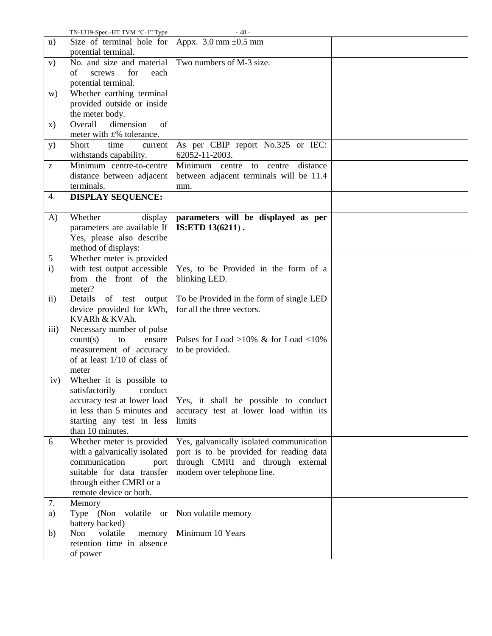|                                                       | TN-1319-Spec.-HT TVM "C-1" Type                         | - 48 -                                              |  |
|-------------------------------------------------------|---------------------------------------------------------|-----------------------------------------------------|--|
| u)                                                    | Size of terminal hole for<br>potential terminal.        | Appx. $3.0 \text{ mm } \pm 0.5 \text{ mm}$          |  |
| V)                                                    | No. and size and material                               | Two numbers of M-3 size.                            |  |
|                                                       | for<br>of<br>screws<br>each                             |                                                     |  |
|                                                       | potential terminal.                                     |                                                     |  |
| w)                                                    | Whether earthing terminal                               |                                                     |  |
|                                                       | provided outside or inside                              |                                                     |  |
|                                                       | the meter body.                                         |                                                     |  |
| $\mathbf{x})$                                         | Overall<br>dimension<br>of                              |                                                     |  |
|                                                       | meter with $\pm\%$ tolerance.                           |                                                     |  |
| y)                                                    | Short<br>time<br>current<br>withstands capability.      | As per CBIP report No.325 or IEC:<br>62052-11-2003. |  |
| $\mathbf{Z}% ^{T}=\mathbf{Z}^{T}\times\mathbf{Z}^{T}$ | Minimum centre-to-centre                                | Minimum centre to centre<br>distance                |  |
|                                                       | distance between adjacent                               | between adjacent terminals will be 11.4             |  |
|                                                       | terminals.                                              | mm.                                                 |  |
| 4.                                                    | <b>DISPLAY SEQUENCE:</b>                                |                                                     |  |
| A)                                                    | Whether<br>display                                      | parameters will be displayed as per                 |  |
|                                                       | parameters are available If                             | IS:ETD 13(6211).                                    |  |
|                                                       | Yes, please also describe                               |                                                     |  |
|                                                       | method of displays:                                     |                                                     |  |
| 5                                                     | Whether meter is provided                               |                                                     |  |
| $\mathbf{i}$                                          | with test output accessible                             | Yes, to be Provided in the form of a                |  |
|                                                       | from the front of the                                   | blinking LED.                                       |  |
|                                                       | meter?                                                  |                                                     |  |
| $\mathbf{ii}$                                         | Details<br>of test output                               | To be Provided in the form of single LED            |  |
|                                                       | device provided for kWh,                                | for all the three vectors.                          |  |
|                                                       | KVARh & KVAh.                                           |                                                     |  |
| iii)                                                  | Necessary number of pulse                               |                                                     |  |
|                                                       | count(s)<br>ensure<br>to                                | Pulses for Load >10% $\&$ for Load <10%             |  |
|                                                       | measurement of accuracy<br>of at least 1/10 of class of | to be provided.                                     |  |
|                                                       | meter                                                   |                                                     |  |
| iv)                                                   | Whether it is possible to                               |                                                     |  |
|                                                       | satisfactorily conduct                                  |                                                     |  |
|                                                       | accuracy test at lower load                             | Yes, it shall be possible to conduct                |  |
|                                                       | in less than 5 minutes and                              | accuracy test at lower load within its              |  |
|                                                       | starting any test in less                               | limits                                              |  |
|                                                       | than 10 minutes.                                        |                                                     |  |
| 6                                                     | Whether meter is provided                               | Yes, galvanically isolated communication            |  |
|                                                       | with a galvanically isolated                            | port is to be provided for reading data             |  |
|                                                       | communication<br>port                                   | through CMRI and through external                   |  |
|                                                       | suitable for data transfer                              | modem over telephone line.                          |  |
|                                                       | through either CMRI or a                                |                                                     |  |
|                                                       | remote device or both.                                  |                                                     |  |
| 7.                                                    | Memory                                                  |                                                     |  |
| a)                                                    | Type (Non volatile<br><b>or</b><br>battery backed)      | Non volatile memory                                 |  |
| b)                                                    | Non<br>volatile<br>memory                               | Minimum 10 Years                                    |  |
|                                                       | retention time in absence                               |                                                     |  |
|                                                       | of power                                                |                                                     |  |
|                                                       |                                                         |                                                     |  |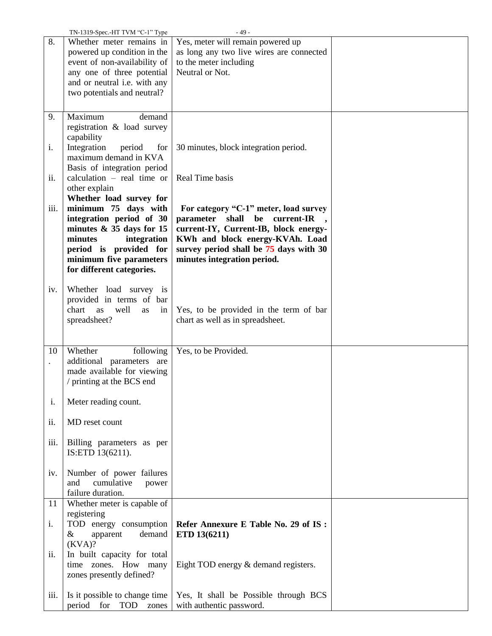|      | TN-1319-Spec.-HT TVM "C-1" Type |                                                                   |  |
|------|---------------------------------|-------------------------------------------------------------------|--|
| 8.   | Whether meter remains in        | Yes, meter will remain powered up                                 |  |
|      | powered up condition in the     | as long any two live wires are connected                          |  |
|      | event of non-availability of    | to the meter including                                            |  |
|      | any one of three potential      | Neutral or Not.                                                   |  |
|      |                                 |                                                                   |  |
|      | and or neutral i.e. with any    |                                                                   |  |
|      | two potentials and neutral?     |                                                                   |  |
|      |                                 |                                                                   |  |
| 9.   | Maximum<br>demand               |                                                                   |  |
|      |                                 |                                                                   |  |
|      | registration & load survey      |                                                                   |  |
|      | capability                      |                                                                   |  |
| i.   | Integration<br>period<br>for    | 30 minutes, block integration period.                             |  |
|      | maximum demand in KVA           |                                                                   |  |
|      | Basis of integration period     |                                                                   |  |
| ii.  | calculation $-$ real time or    | Real Time basis                                                   |  |
|      | other explain                   |                                                                   |  |
|      | Whether load survey for         |                                                                   |  |
|      |                                 |                                                                   |  |
| iii. | minimum 75 days with            | For category "C-1" meter, load survey                             |  |
|      | integration period of 30        | parameter shall be current-IR                                     |  |
|      | minutes $& 35$ days for 15      | current-IY, Current-IB, block energy-                             |  |
|      | minutes<br>integration          | KWh and block energy-KVAh. Load                                   |  |
|      | period is provided for          | survey period shall be 75 days with 30                            |  |
|      | minimum five parameters         | minutes integration period.                                       |  |
|      | for different categories.       |                                                                   |  |
|      |                                 |                                                                   |  |
| iv.  |                                 |                                                                   |  |
|      | Whether load survey is          |                                                                   |  |
|      | provided in terms of bar        |                                                                   |  |
|      | chart<br>well<br>as<br>as<br>in | Yes, to be provided in the term of bar                            |  |
|      | spreadsheet?                    | chart as well as in spreadsheet.                                  |  |
|      |                                 |                                                                   |  |
|      |                                 |                                                                   |  |
| 10   | Whether<br>following            | Yes, to be Provided.                                              |  |
|      | additional parameters are       |                                                                   |  |
|      | made available for viewing      |                                                                   |  |
|      |                                 |                                                                   |  |
|      |                                 |                                                                   |  |
|      | / printing at the BCS end       |                                                                   |  |
|      |                                 |                                                                   |  |
| i.   | Meter reading count.            |                                                                   |  |
|      |                                 |                                                                   |  |
| ii.  | MD reset count                  |                                                                   |  |
|      |                                 |                                                                   |  |
|      |                                 |                                                                   |  |
| iii. | Billing parameters as per       |                                                                   |  |
|      | IS:ETD 13(6211).                |                                                                   |  |
|      |                                 |                                                                   |  |
| iv.  | Number of power failures        |                                                                   |  |
|      | cumulative<br>and<br>power      |                                                                   |  |
|      | failure duration.               |                                                                   |  |
| 11   | Whether meter is capable of     |                                                                   |  |
|      | registering                     |                                                                   |  |
| i.   | TOD energy consumption          | Refer Annexure E Table No. 29 of IS:                              |  |
|      |                                 |                                                                   |  |
|      | $\&$<br>demand<br>apparent      | ETD 13(6211)                                                      |  |
|      | (KVA)?                          |                                                                   |  |
| ii.  | In built capacity for total     |                                                                   |  |
|      | time zones. How many            | Eight TOD energy & demand registers.                              |  |
|      | zones presently defined?        |                                                                   |  |
|      |                                 |                                                                   |  |
| iii. | Is it possible to change time   | Yes, It shall be Possible through BCS<br>with authentic password. |  |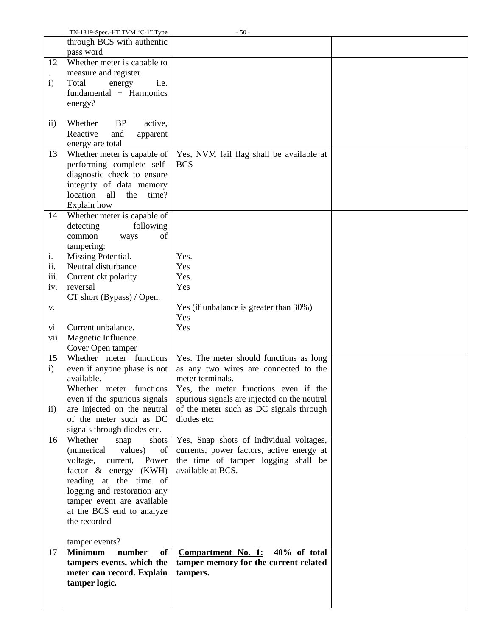|              | TN-1319-Spec.-HT TVM "C-1" Type                           | $-50-$                                                   |  |
|--------------|-----------------------------------------------------------|----------------------------------------------------------|--|
|              | through BCS with authentic<br>pass word                   |                                                          |  |
| 12           | Whether meter is capable to                               |                                                          |  |
|              | measure and register                                      |                                                          |  |
| $\mathbf{i}$ | Total<br>i.e.<br>energy                                   |                                                          |  |
|              | fundamental + Harmonics                                   |                                                          |  |
|              | energy?                                                   |                                                          |  |
|              |                                                           |                                                          |  |
| $\rm ii)$    | Whether<br><b>BP</b><br>active,                           |                                                          |  |
|              | Reactive<br>and<br>apparent                               |                                                          |  |
|              | energy are total                                          |                                                          |  |
| 13           | Whether meter is capable of                               | Yes, NVM fail flag shall be available at                 |  |
|              | performing complete self-                                 | <b>BCS</b>                                               |  |
|              | diagnostic check to ensure                                |                                                          |  |
|              | integrity of data memory                                  |                                                          |  |
|              | location<br>all<br>the<br>time?                           |                                                          |  |
| 14           | Explain how<br>Whether meter is capable of                |                                                          |  |
|              | following<br>detecting                                    |                                                          |  |
|              | common<br>of<br>ways                                      |                                                          |  |
|              | tampering:                                                |                                                          |  |
| i.           | Missing Potential.                                        | Yes.                                                     |  |
| ii.          | Neutral disturbance                                       | Yes                                                      |  |
| iii.         | Current ckt polarity                                      | Yes.                                                     |  |
| iv.          | reversal                                                  | Yes                                                      |  |
|              | CT short (Bypass) / Open.                                 |                                                          |  |
| V.           |                                                           | Yes (if unbalance is greater than 30%)                   |  |
|              |                                                           | Yes                                                      |  |
| vi           | Current unbalance.                                        | Yes                                                      |  |
| vii          | Magnetic Influence.<br>Cover Open tamper                  |                                                          |  |
| 15           | Whether meter functions                                   | Yes. The meter should functions as long                  |  |
| $\ddot{i}$   | even if anyone phase is not                               | as any two wires are connected to the                    |  |
|              | available.                                                | meter terminals.                                         |  |
|              | Whether meter functions                                   | Yes, the meter functions even if the                     |  |
|              | even if the spurious signals                              | spurious signals are injected on the neutral             |  |
| $\rm ii)$    | are injected on the neutral                               | of the meter such as DC signals through                  |  |
|              | of the meter such as DC                                   | diodes etc.                                              |  |
|              | signals through diodes etc.                               |                                                          |  |
| 16           | Whether<br>shots<br>snap                                  | Yes, Snap shots of individual voltages,                  |  |
|              | (numerical)<br>values)<br>of                              | currents, power factors, active energy at                |  |
|              | voltage,<br>current,<br>Power<br>factor $\&$ energy (KWH) | the time of tamper logging shall be<br>available at BCS. |  |
|              | reading at the time of                                    |                                                          |  |
|              | logging and restoration any                               |                                                          |  |
|              | tamper event are available                                |                                                          |  |
|              | at the BCS end to analyze                                 |                                                          |  |
|              | the recorded                                              |                                                          |  |
|              | tamper events?                                            |                                                          |  |
| 17           | <b>Minimum</b><br>number<br>of                            | $40\%$ of total<br><b>Compartment No. 1:</b>             |  |
|              | tampers events, which the                                 | tamper memory for the current related                    |  |
|              | meter can record. Explain                                 | tampers.                                                 |  |
|              | tamper logic.                                             |                                                          |  |
|              |                                                           |                                                          |  |
|              |                                                           |                                                          |  |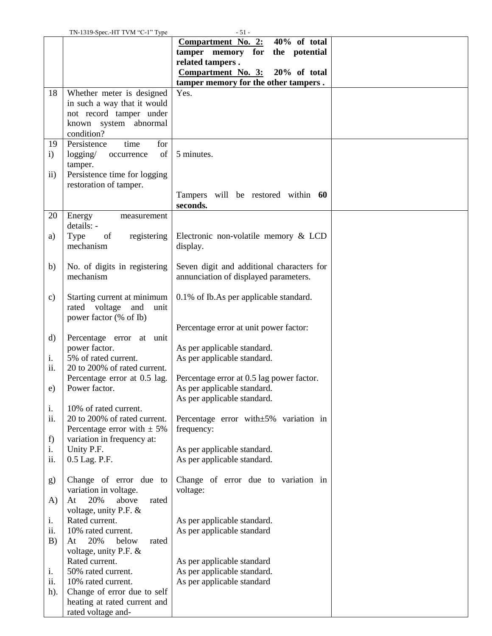|              | TN-1319-Spec.-HT TVM "C-1" Type                 | - 51 -                                                                               |  |
|--------------|-------------------------------------------------|--------------------------------------------------------------------------------------|--|
|              |                                                 | 40% of total<br>Compartment No. 2:                                                   |  |
|              |                                                 | tamper memory for<br>the potential                                                   |  |
|              |                                                 | related tampers.                                                                     |  |
|              |                                                 | <b>Compartment No. 3:</b><br>$20\%$ of total<br>tamper memory for the other tampers. |  |
| 18           | Whether meter is designed                       | Yes.                                                                                 |  |
|              | in such a way that it would                     |                                                                                      |  |
|              | not record tamper under                         |                                                                                      |  |
|              | known system abnormal                           |                                                                                      |  |
|              | condition?                                      |                                                                                      |  |
| 19           | Persistence<br>time<br>for                      |                                                                                      |  |
| $\mathbf{i}$ | logging/<br>of<br>occurrence                    | 5 minutes.                                                                           |  |
|              | tamper.                                         |                                                                                      |  |
| $\ddot{i}$   | Persistence time for logging                    |                                                                                      |  |
|              | restoration of tamper.                          |                                                                                      |  |
|              |                                                 | Tampers will be restored within 60                                                   |  |
|              |                                                 | seconds.                                                                             |  |
| 20           | Energy<br>measurement                           |                                                                                      |  |
|              | details: -                                      |                                                                                      |  |
| a)           | Type<br>of<br>registering                       | Electronic non-volatile memory & LCD                                                 |  |
|              | mechanism                                       | display.                                                                             |  |
|              |                                                 |                                                                                      |  |
| b)           | No. of digits in registering<br>mechanism       | Seven digit and additional characters for                                            |  |
|              |                                                 | annunciation of displayed parameters.                                                |  |
| c)           | Starting current at minimum                     | 0.1% of Ib.As per applicable standard.                                               |  |
|              | rated voltage<br>and<br>unit                    |                                                                                      |  |
|              | power factor (% of Ib)                          |                                                                                      |  |
|              |                                                 | Percentage error at unit power factor:                                               |  |
| $\rm d)$     | Percentage error at unit                        |                                                                                      |  |
|              | power factor.                                   | As per applicable standard.                                                          |  |
| i.           | 5% of rated current.                            | As per applicable standard.                                                          |  |
| ii.          | 20 to 200% of rated current.                    |                                                                                      |  |
|              | Percentage error at 0.5 lag.                    | Percentage error at 0.5 lag power factor.                                            |  |
| e)           | Power factor.                                   | As per applicable standard.                                                          |  |
|              |                                                 | As per applicable standard.                                                          |  |
| i.           | 10% of rated current.                           |                                                                                      |  |
| ii.          | 20 to 200% of rated current.                    | Percentage error with±5% variation in                                                |  |
|              | Percentage error with $\pm$ 5%                  | frequency:                                                                           |  |
| f)           | variation in frequency at:                      |                                                                                      |  |
| i.           | Unity P.F.                                      | As per applicable standard.                                                          |  |
| ii.          | 0.5 Lag. P.F.                                   | As per applicable standard.                                                          |  |
|              |                                                 |                                                                                      |  |
| g)           | Change of error due to<br>variation in voltage. | Change of error due to variation in<br>voltage:                                      |  |
| A)           | 20%<br>above<br>At<br>rated                     |                                                                                      |  |
|              | voltage, unity P.F. $\&$                        |                                                                                      |  |
| i.           | Rated current.                                  | As per applicable standard.                                                          |  |
| ii.          | 10% rated current.                              | As per applicable standard                                                           |  |
| B)           | 20%<br>below<br>At<br>rated                     |                                                                                      |  |
|              | voltage, unity P.F. &                           |                                                                                      |  |
|              | Rated current.                                  | As per applicable standard                                                           |  |
| i.           | 50% rated current.                              | As per applicable standard.                                                          |  |
| ii.          | 10% rated current.                              | As per applicable standard                                                           |  |
| $h$ ).       | Change of error due to self                     |                                                                                      |  |
|              | heating at rated current and                    |                                                                                      |  |
|              | rated voltage and-                              |                                                                                      |  |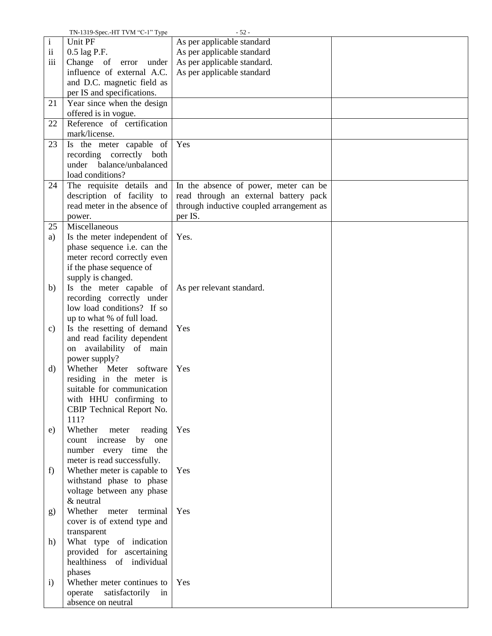|              | TN-1319-Spec.-HT TVM "C-1" Type | $-52-$                                   |  |
|--------------|---------------------------------|------------------------------------------|--|
| $\mathbf{i}$ | Unit PF                         | As per applicable standard               |  |
| $\rm ii$     | 0.5 lag P.F.                    | As per applicable standard               |  |
| iii          | Change of error<br>under        | As per applicable standard.              |  |
|              | influence of external A.C.      | As per applicable standard               |  |
|              | and D.C. magnetic field as      |                                          |  |
|              | per IS and specifications.      |                                          |  |
| 21           | Year since when the design      |                                          |  |
|              |                                 |                                          |  |
|              | offered is in vogue.            |                                          |  |
| 22           | Reference of certification      |                                          |  |
|              | mark/license.                   |                                          |  |
| 23           | Is the meter capable of         | Yes                                      |  |
|              | recording correctly both        |                                          |  |
|              | balance/unbalanced<br>under     |                                          |  |
|              | load conditions?                |                                          |  |
| 24           | The requisite details and       | In the absence of power, meter can be    |  |
|              | description of facility to      | read through an external battery pack    |  |
|              | read meter in the absence of    | through inductive coupled arrangement as |  |
|              | power.                          | per IS.                                  |  |
| 25           | Miscellaneous                   |                                          |  |
| a)           | Is the meter independent of     | Yes.                                     |  |
|              | phase sequence i.e. can the     |                                          |  |
|              |                                 |                                          |  |
|              | meter record correctly even     |                                          |  |
|              | if the phase sequence of        |                                          |  |
|              | supply is changed.              |                                          |  |
| b)           | Is the meter capable of         | As per relevant standard.                |  |
|              | recording correctly under       |                                          |  |
|              | low load conditions? If so      |                                          |  |
|              | up to what % of full load.      |                                          |  |
| c)           | Is the resetting of demand      | Yes                                      |  |
|              | and read facility dependent     |                                          |  |
|              | on availability of main         |                                          |  |
|              | power supply?                   |                                          |  |
| d)           | Whether Meter software          | Yes                                      |  |
|              | residing in the meter is        |                                          |  |
|              | suitable for communication      |                                          |  |
|              | with HHU confirming to          |                                          |  |
|              | CBIP Technical Report No.       |                                          |  |
|              | 111?                            |                                          |  |
|              |                                 |                                          |  |
| e)           | Whether<br>reading<br>meter     | Yes                                      |  |
|              | count increase<br>by<br>one     |                                          |  |
|              | number every<br>time<br>the     |                                          |  |
|              | meter is read successfully.     |                                          |  |
| f            | Whether meter is capable to     | Yes                                      |  |
|              | withstand phase to phase        |                                          |  |
|              | voltage between any phase       |                                          |  |
|              | & neutral                       |                                          |  |
| g)           | Whether meter<br>terminal       | Yes                                      |  |
|              | cover is of extend type and     |                                          |  |
|              | transparent                     |                                          |  |
| h)           | What type of indication         |                                          |  |
|              | provided for ascertaining       |                                          |  |
|              | healthiness of individual       |                                          |  |
|              | phases                          |                                          |  |
|              |                                 | Yes                                      |  |
| $\mathbf{i}$ | Whether meter continues to      |                                          |  |
|              | satisfactorily<br>operate<br>in |                                          |  |
|              | absence on neutral              |                                          |  |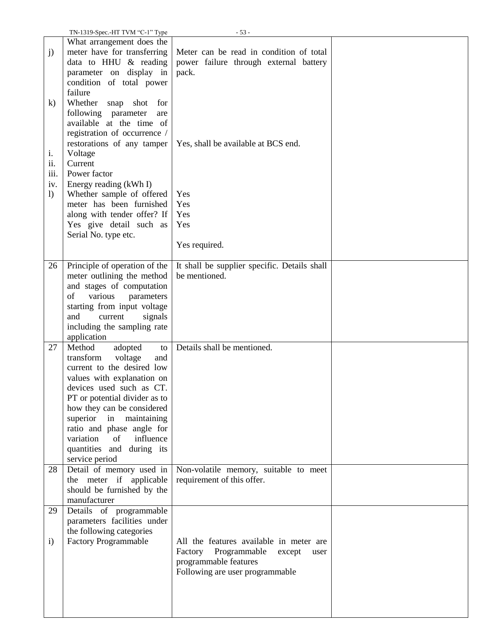|                  | TN-1319-Spec.-HT TVM "C-1" Type | $-53-$                                       |  |
|------------------|---------------------------------|----------------------------------------------|--|
|                  | What arrangement does the       |                                              |  |
| j)               | meter have for transferring     | Meter can be read in condition of total      |  |
|                  | data to HHU $\&$ reading        | power failure through external battery       |  |
|                  | parameter on display in         | pack.                                        |  |
|                  | condition of total power        |                                              |  |
|                  | failure                         |                                              |  |
| $\bf k)$         | Whether<br>shot<br>for<br>snap  |                                              |  |
|                  |                                 |                                              |  |
|                  | following parameter<br>are      |                                              |  |
|                  | available at the time of        |                                              |  |
|                  | registration of occurrence /    |                                              |  |
|                  | restorations of any tamper      | Yes, shall be available at BCS end.          |  |
| 1.               | Voltage                         |                                              |  |
| ii.              | Current                         |                                              |  |
| iii.             | Power factor                    |                                              |  |
| iv.              | Energy reading (kWh I)          |                                              |  |
| $\left( \right)$ | Whether sample of offered       | Yes                                          |  |
|                  | meter has been furnished        | Yes                                          |  |
|                  | along with tender offer? If     | Yes                                          |  |
|                  | Yes give detail such as         | Yes                                          |  |
|                  | Serial No. type etc.            |                                              |  |
|                  |                                 | Yes required.                                |  |
|                  |                                 |                                              |  |
| 26               | Principle of operation of the   | It shall be supplier specific. Details shall |  |
|                  | meter outlining the method      | be mentioned.                                |  |
|                  | and stages of computation       |                                              |  |
|                  | of<br>various<br>parameters     |                                              |  |
|                  | starting from input voltage     |                                              |  |
|                  | and<br>current<br>signals       |                                              |  |
|                  | including the sampling rate     |                                              |  |
|                  |                                 |                                              |  |
| 27               | application<br>Method           | Details shall be mentioned.                  |  |
|                  | adopted<br>to                   |                                              |  |
|                  | transform<br>voltage<br>and     |                                              |  |
|                  | current to the desired low      |                                              |  |
|                  | values with explanation on      |                                              |  |
|                  | devices used such as CT.        |                                              |  |
|                  | PT or potential divider as to   |                                              |  |
|                  | how they can be considered      |                                              |  |
|                  | superior in maintaining         |                                              |  |
|                  | ratio and phase angle for       |                                              |  |
|                  | influence<br>variation<br>of    |                                              |  |
|                  | quantities and during its       |                                              |  |
|                  | service period                  |                                              |  |
| 28               | Detail of memory used in        | Non-volatile memory, suitable to meet        |  |
|                  | the meter if applicable         | requirement of this offer.                   |  |
|                  | should be furnished by the      |                                              |  |
|                  | manufacturer                    |                                              |  |
| 29               | Details of programmable         |                                              |  |
|                  | parameters facilities under     |                                              |  |
|                  | the following categories        |                                              |  |
| $\mathbf{i}$     | <b>Factory Programmable</b>     | All the features available in meter are      |  |
|                  |                                 | Factory Programmable<br>except<br>user       |  |
|                  |                                 | programmable features                        |  |
|                  |                                 | Following are user programmable              |  |
|                  |                                 |                                              |  |
|                  |                                 |                                              |  |
|                  |                                 |                                              |  |
|                  |                                 |                                              |  |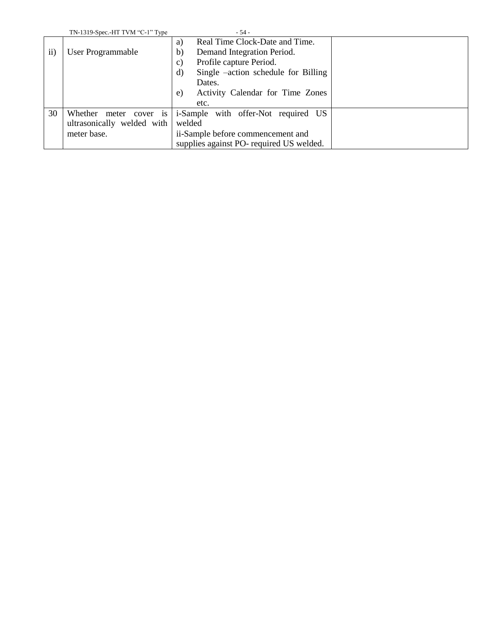|           | TN-1319-Spec.-HT TVM "C-1" Type | $-54-$                                    |
|-----------|---------------------------------|-------------------------------------------|
|           |                                 | Real Time Clock-Date and Time.<br>a)      |
| $\rm ii)$ | User Programmable               | Demand Integration Period.<br>b)          |
|           |                                 | Profile capture Period.<br>C)             |
|           |                                 | Single –action schedule for Billing<br>d) |
|           |                                 | Dates.                                    |
|           |                                 | Activity Calendar for Time Zones<br>e)    |
|           |                                 | etc.                                      |
| 30        | Whether<br>meter cover is       | i-Sample with offer-Not required<br>US    |
|           | ultrasonically welded with      | welded                                    |
|           | meter base.                     | ii-Sample before commencement and         |
|           |                                 | supplies against PO- required US welded.  |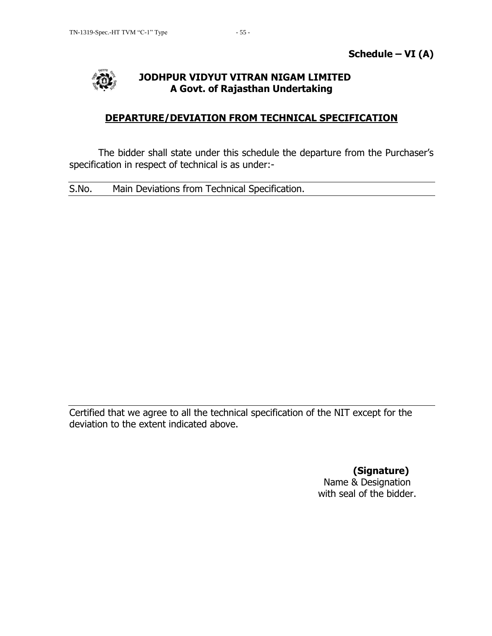

# **DEPARTURE/DEVIATION FROM TECHNICAL SPECIFICATION**

The bidder shall state under this schedule the departure from the Purchaser"s specification in respect of technical is as under:-

S.No. Main Deviations from Technical Specification.

Certified that we agree to all the technical specification of the NIT except for the deviation to the extent indicated above.

> **(Signature)** Name & Designation with seal of the bidder.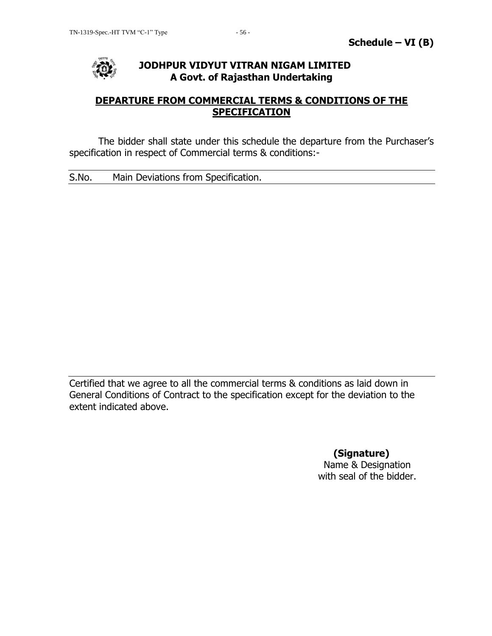

## **DEPARTURE FROM COMMERCIAL TERMS & CONDITIONS OF THE SPECIFICATION**

The bidder shall state under this schedule the departure from the Purchaser"s specification in respect of Commercial terms & conditions:-

S.No. Main Deviations from Specification.

Certified that we agree to all the commercial terms & conditions as laid down in General Conditions of Contract to the specification except for the deviation to the extent indicated above.

> **(Signature)** Name & Designation with seal of the bidder.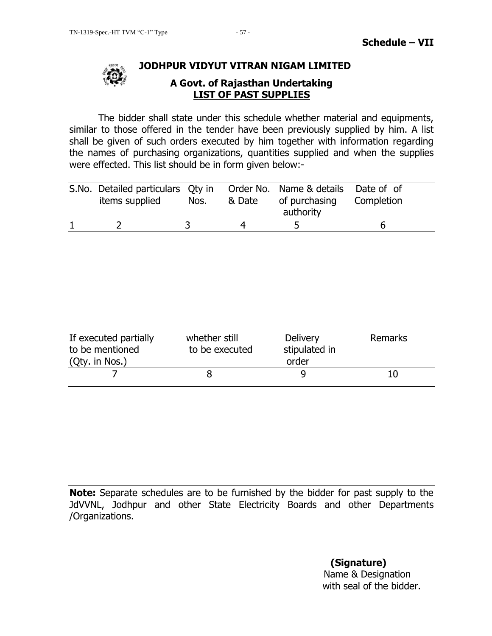

# **LIST OF PAST SUPPLIES**

The bidder shall state under this schedule whether material and equipments, similar to those offered in the tender have been previously supplied by him. A list shall be given of such orders executed by him together with information regarding the names of purchasing organizations, quantities supplied and when the supplies were effected. This list should be in form given below:-

| S.No. Detailed particulars Oty in Order No. Name & details Date of of<br>items supplied | Nos. | & Date | of purchasing Completion<br>authority |  |
|-----------------------------------------------------------------------------------------|------|--------|---------------------------------------|--|
|                                                                                         |      |        |                                       |  |

| If executed partially<br>to be mentioned<br>(Qty. in Nos.) | whether still<br>to be executed | <b>Delivery</b><br>stipulated in<br>order | <b>Remarks</b> |
|------------------------------------------------------------|---------------------------------|-------------------------------------------|----------------|
|                                                            |                                 |                                           | 10             |

**Note:** Separate schedules are to be furnished by the bidder for past supply to the JdVVNL, Jodhpur and other State Electricity Boards and other Departments /Organizations.

> **(Signature)** Name & Designation with seal of the bidder.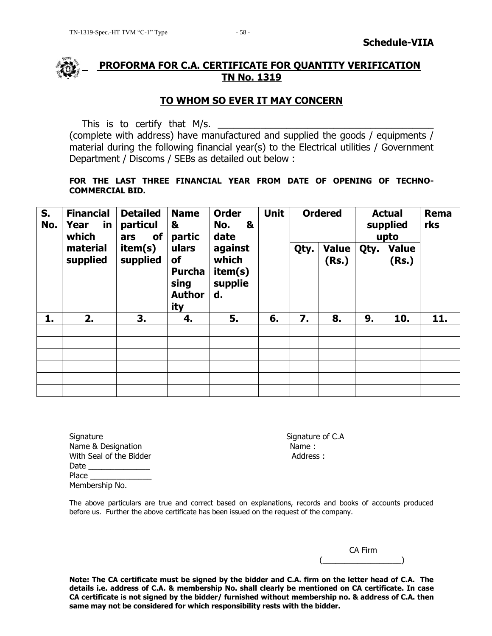

## **PROFORMA FOR C.A. CERTIFICATE FOR QUANTITY VERIFICATION TN No. 1319**

## **TO WHOM SO EVER IT MAY CONCERN**

This is to certify that M/s.

(complete with address) have manufactured and supplied the goods / equipments / material during the following financial year(s) to the Electrical utilities / Government Department / Discoms / SEBs as detailed out below :

#### **FOR THE LAST THREE FINANCIAL YEAR FROM DATE OF OPENING OF TECHNO-COMMERCIAL BID.**

| S.<br>No. | <b>Financial</b><br>Year<br>in<br>which | <b>Detailed</b><br>particul<br>of<br>ars | <b>Name</b><br>&<br>partic                                   | <b>Order</b><br>&<br>No.<br>date             | <b>Unit</b> |    | <b>Ordered</b> |      | <b>Actual</b><br>supplied<br>upto | Rema<br>rks |                       |  |
|-----------|-----------------------------------------|------------------------------------------|--------------------------------------------------------------|----------------------------------------------|-------------|----|----------------|------|-----------------------------------|-------------|-----------------------|--|
|           | material<br>supplied                    | item(s)<br>supplied                      | ulars<br>of<br><b>Purcha</b><br>sing<br><b>Author</b><br>ity | against<br>which<br>item(s)<br>supplie<br>d. |             |    |                | Qty. | <b>Value</b><br>(Rs.)             | Qty.        | <b>Value</b><br>(Rs.) |  |
| 1.        | 2.                                      | 3.                                       | 4.                                                           | 5.                                           | 6.          | 7. | 8.             | 9.   | 10.                               | 11.         |                       |  |
|           |                                         |                                          |                                                              |                                              |             |    |                |      |                                   |             |                       |  |
|           |                                         |                                          |                                                              |                                              |             |    |                |      |                                   |             |                       |  |
|           |                                         |                                          |                                                              |                                              |             |    |                |      |                                   |             |                       |  |
|           |                                         |                                          |                                                              |                                              |             |    |                |      |                                   |             |                       |  |
|           |                                         |                                          |                                                              |                                              |             |    |                |      |                                   |             |                       |  |
|           |                                         |                                          |                                                              |                                              |             |    |                |      |                                   |             |                       |  |

Signature Signature of C.A Name & Designation Name : With Seal of the Bidder **Address :** Address : Date Place \_\_\_\_ Membership No.

The above particulars are true and correct based on explanations, records and books of accounts produced before us. Further the above certificate has been issued on the request of the company.

|  | CA Firm |
|--|---------|
|  |         |

**Note: The CA certificate must be signed by the bidder and C.A. firm on the letter head of C.A. The details i.e. address of C.A. & membership No. shall clearly be mentioned on CA certificate. In case CA certificate is not signed by the bidder/ furnished without membership no. & address of C.A. then same may not be considered for which responsibility rests with the bidder.**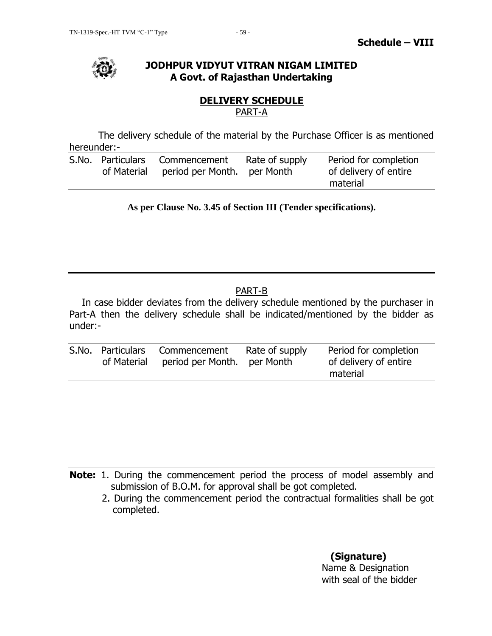

## **DELIVERY SCHEDULE** PART-A

The delivery schedule of the material by the Purchase Officer is as mentioned hereunder:-

|  | S.No. Particulars Commencement<br>of Material period per Month. per Month | Rate of supply | Period for completion<br>of delivery of entire<br>material |
|--|---------------------------------------------------------------------------|----------------|------------------------------------------------------------|
|  |                                                                           |                |                                                            |

**As per Clause No. 3.45 of Section III (Tender specifications).**

# PART-B

In case bidder deviates from the delivery schedule mentioned by the purchaser in Part-A then the delivery schedule shall be indicated/mentioned by the bidder as under:-

|  | S.No. Particulars Commencement<br>of Material period per Month. per Month | Rate of supply | Period for completion<br>of delivery of entire |
|--|---------------------------------------------------------------------------|----------------|------------------------------------------------|
|  |                                                                           |                | material                                       |

**Note:** 1. During the commencement period the process of model assembly and submission of B.O.M. for approval shall be got completed.

2. During the commencement period the contractual formalities shall be got completed.

> **(Signature)** Name & Designation with seal of the bidder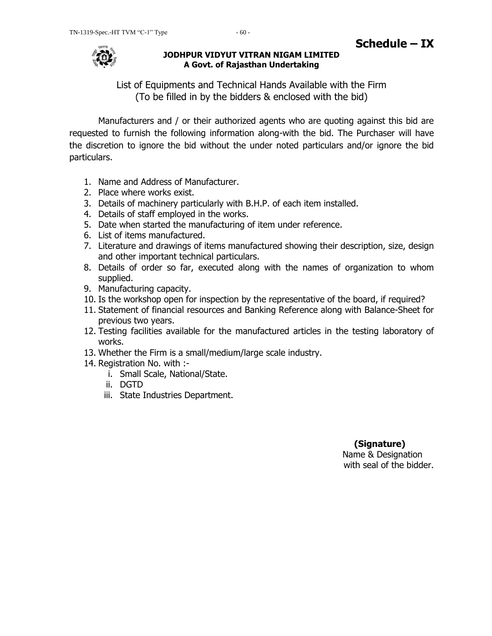

List of Equipments and Technical Hands Available with the Firm (To be filled in by the bidders & enclosed with the bid)

Manufacturers and / or their authorized agents who are quoting against this bid are requested to furnish the following information along-with the bid. The Purchaser will have the discretion to ignore the bid without the under noted particulars and/or ignore the bid particulars.

- 1. Name and Address of Manufacturer.
- 2. Place where works exist.
- 3. Details of machinery particularly with B.H.P. of each item installed.
- 4. Details of staff employed in the works.
- 5. Date when started the manufacturing of item under reference.
- 6. List of items manufactured.
- 7. Literature and drawings of items manufactured showing their description, size, design and other important technical particulars.
- 8. Details of order so far, executed along with the names of organization to whom supplied.
- 9. Manufacturing capacity.
- 10. Is the workshop open for inspection by the representative of the board, if required?
- 11. Statement of financial resources and Banking Reference along with Balance-Sheet for previous two years.
- 12. Testing facilities available for the manufactured articles in the testing laboratory of works.
- 13. Whether the Firm is a small/medium/large scale industry.
- 14. Registration No. with :
	- i. Small Scale, National/State.
	- ii. DGTD
	- iii. State Industries Department.

## **(Signature)** Name & Designation with seal of the bidder.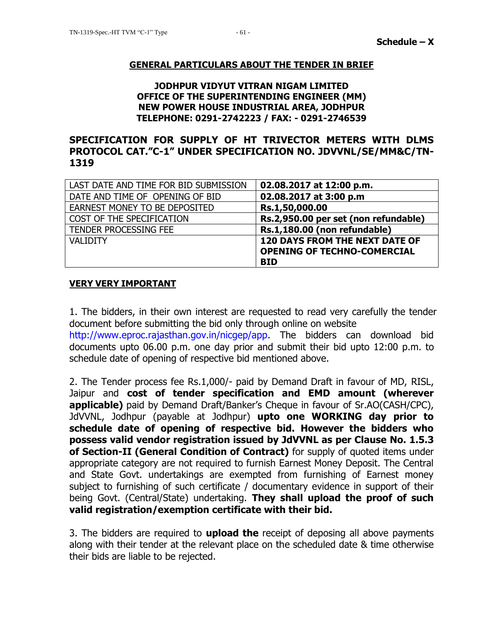#### **GENERAL PARTICULARS ABOUT THE TENDER IN BRIEF**

#### **JODHPUR VIDYUT VITRAN NIGAM LIMITED OFFICE OF THE SUPERINTENDING ENGINEER (MM) NEW POWER HOUSE INDUSTRIAL AREA, JODHPUR TELEPHONE: 0291-2742223 / FAX: - 0291-2746539**

## **SPECIFICATION FOR SUPPLY OF HT TRIVECTOR METERS WITH DLMS PROTOCOL CAT."C-1" UNDER SPECIFICATION NO. JDVVNL/SE/MM&C/TN-1319**

| LAST DATE AND TIME FOR BID SUBMISSION | 02.08.2017 at 12:00 p.m.              |
|---------------------------------------|---------------------------------------|
| DATE AND TIME OF OPENING OF BID       | 02.08.2017 at 3:00 p.m                |
| EARNEST MONEY TO BE DEPOSITED         | Rs.1,50,000.00                        |
| COST OF THE SPECIFICATION             | Rs.2,950.00 per set (non refundable)  |
| TENDER PROCESSING FEE                 | Rs.1,180.00 (non refundable)          |
| <b>VAI IDITY</b>                      | <b>120 DAYS FROM THE NEXT DATE OF</b> |
|                                       | <b>OPENING OF TECHNO-COMERCIAL</b>    |
|                                       | <b>BID</b>                            |

#### **VERY VERY IMPORTANT**

1. The bidders, in their own interest are requested to read very carefully the tender document before submitting the bid only through online on website http://www.eproc.rajasthan.gov.in/nicgep/app. The bidders can download bid documents upto 06.00 p.m. one day prior and submit their bid upto 12:00 p.m. to schedule date of opening of respective bid mentioned above.

2. The Tender process fee Rs.1,000/- paid by Demand Draft in favour of MD, RISL, Jaipur and **cost of tender specification and EMD amount (wherever applicable)** paid by Demand Draft/Banker"s Cheque in favour of Sr.AO(CASH/CPC), JdVVNL, Jodhpur (payable at Jodhpur) **upto one WORKING day prior to schedule date of opening of respective bid. However the bidders who possess valid vendor registration issued by JdVVNL as per Clause No. 1.5.3 of Section-II (General Condition of Contract)** for supply of quoted items under appropriate category are not required to furnish Earnest Money Deposit. The Central and State Govt. undertakings are exempted from furnishing of Earnest money subject to furnishing of such certificate / documentary evidence in support of their being Govt. (Central/State) undertaking. **They shall upload the proof of such valid registration/exemption certificate with their bid.**

3. The bidders are required to **upload the** receipt of deposing all above payments along with their tender at the relevant place on the scheduled date & time otherwise their bids are liable to be rejected.